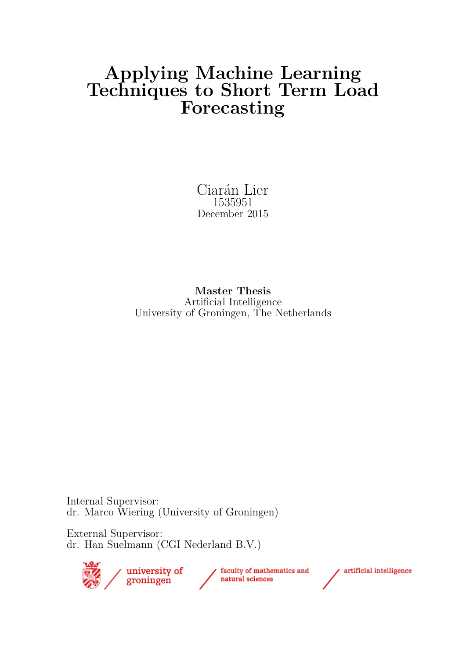# **Applying Machine Learning Techniques to Short Term Load Forecasting**

Ciarán Lier 1535951 December 2015

**Master Thesis** Artificial Intelligence University of Groningen, The Netherlands

Internal Supervisor: dr. Marco Wiering (University of Groningen)

External Supervisor: dr. Han Suelmann (CGI Nederland B.V.)



artificial intelligence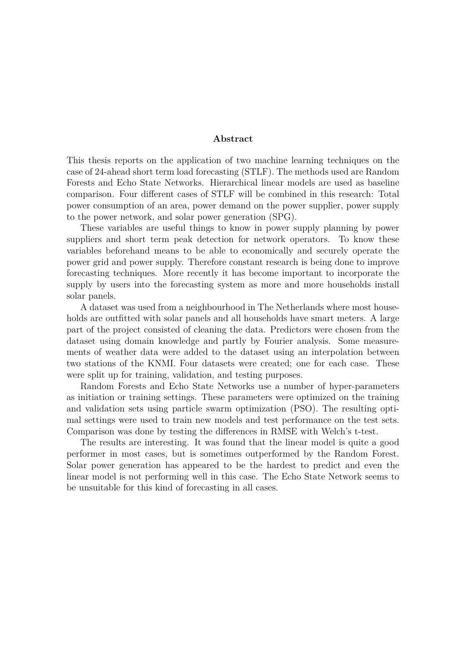#### **Abstract**

This thesis reports on the application of two machine learning techniques on the case of 24-ahead short term load forecasting (STLF). The methods used are Random Forests and Echo State Networks. Hierarchical linear models are used as baseline comparison. Four different cases of STLF will be combined in this research: Total power consumption of an area, power demand on the power supplier, power supply to the power network, and solar power generation (SPG).

These variables are useful things to know in power supply planning by power suppliers and short term peak detection for network operators. To know these variables beforehand means to be able to economically and securely operate the power grid and power supply. Therefore constant research is being done to improve forecasting techniques. More recently it has become important to incorporate the supply by users into the forecasting system as more and more households install solar panels.

A dataset was used from a neighbourhood in The Netherlands where most households are outfitted with solar panels and all households have smart meters. A large part of the project consisted of cleaning the data. Predictors were chosen from the dataset using domain knowledge and partly by Fourier analysis. Some measurements of weather data were added to the dataset using an interpolation between two stations of the KNMI. Four datasets were created; one for each case. These were split up for training, validation, and testing purposes.

Random Forests and Echo State Networks use a number of hyper-parameters as initiation or training settings. These parameters were optimized on the training and validation sets using particle swarm optimization (PSO). The resulting optimal settings were used to train new models and test performance on the test sets. Comparison was done by testing the differences in RMSE with Welch's t-test.

The results are interesting. It was found that the linear model is quite a good performer in most cases, but is sometimes outperformed by the Random Forest. Solar power generation has appeared to be the hardest to predict and even the linear model is not performing well in this case. The Echo State Network seems to be unsuitable for this kind of forecasting in all cases.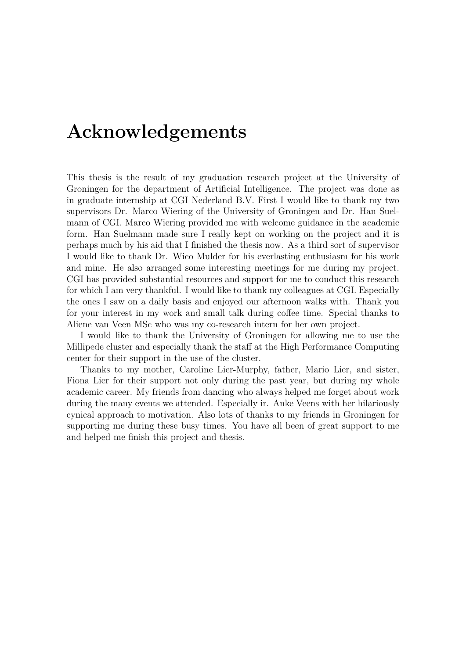# **Acknowledgements**

This thesis is the result of my graduation research project at the University of Groningen for the department of Artificial Intelligence. The project was done as in graduate internship at CGI Nederland B.V. First I would like to thank my two supervisors Dr. Marco Wiering of the University of Groningen and Dr. Han Suelmann of CGI. Marco Wiering provided me with welcome guidance in the academic form. Han Suelmann made sure I really kept on working on the project and it is perhaps much by his aid that I finished the thesis now. As a third sort of supervisor I would like to thank Dr. Wico Mulder for his everlasting enthusiasm for his work and mine. He also arranged some interesting meetings for me during my project. CGI has provided substantial resources and support for me to conduct this research for which I am very thankful. I would like to thank my colleagues at CGI. Especially the ones I saw on a daily basis and enjoyed our afternoon walks with. Thank you for your interest in my work and small talk during coffee time. Special thanks to Aliene van Veen MSc who was my co-research intern for her own project.

I would like to thank the University of Groningen for allowing me to use the Millipede cluster and especially thank the staff at the High Performance Computing center for their support in the use of the cluster.

Thanks to my mother, Caroline Lier-Murphy, father, Mario Lier, and sister, Fiona Lier for their support not only during the past year, but during my whole academic career. My friends from dancing who always helped me forget about work during the many events we attended. Especially ir. Anke Veens with her hilariously cynical approach to motivation. Also lots of thanks to my friends in Groningen for supporting me during these busy times. You have all been of great support to me and helped me finish this project and thesis.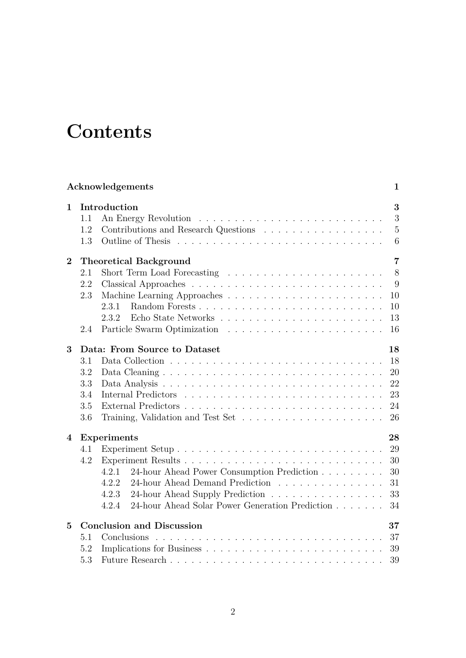# **Contents**

|                |                   | Acknowledgements                                         | 1                             |
|----------------|-------------------|----------------------------------------------------------|-------------------------------|
| $\mathbf{1}$   | 1.1<br>1.2<br>1.3 | Introduction                                             | 3<br>3<br>$\overline{5}$<br>6 |
| $\overline{2}$ |                   | <b>Theoretical Background</b>                            | $\overline{7}$                |
|                | 2.1               |                                                          | 8                             |
|                | 2.2               |                                                          | 9                             |
|                | 2.3               |                                                          | 10                            |
|                |                   | 2.3.1<br>Random Forests                                  | 10                            |
|                |                   | 2.3.2                                                    | 13                            |
|                | 2.4               |                                                          | 16                            |
| 3              |                   | Data: From Source to Dataset                             | 18                            |
|                | 3.1               |                                                          | 18                            |
|                | 3.2               |                                                          | 20                            |
|                | 3.3               |                                                          | 22                            |
|                | 3.4               |                                                          | 23                            |
|                | 3.5               |                                                          | 24                            |
|                | 3.6               |                                                          | 26                            |
| 4              |                   | <b>Experiments</b>                                       | 28                            |
|                | 4.1               |                                                          | 29                            |
|                | 4.2               |                                                          | 30                            |
|                |                   | 24-hour Ahead Power Consumption Prediction<br>4.2.1      | 30                            |
|                |                   | 24-hour Ahead Demand Prediction<br>4.2.2                 | 31                            |
|                |                   | 4.2.3<br>24-hour Ahead Supply Prediction                 | 33                            |
|                |                   | 4.2.4<br>24-hour Ahead Solar Power Generation Prediction | 34                            |
| $\bf{5}$       |                   | <b>Conclusion and Discussion</b>                         | 37                            |
|                | 5.1               | Conclusions                                              | 37                            |
|                | 5.2               |                                                          | 39                            |
|                | 5.3               |                                                          | 39                            |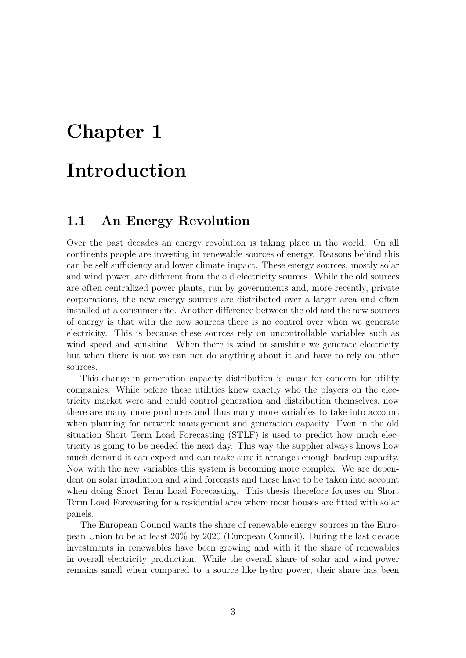# **Chapter 1**

# **Introduction**

### **1.1 An Energy Revolution**

Over the past decades an energy revolution is taking place in the world. On all continents people are investing in renewable sources of energy. Reasons behind this can be self sufficiency and lower climate impact. These energy sources, mostly solar and wind power, are different from the old electricity sources. While the old sources are often centralized power plants, run by governments and, more recently, private corporations, the new energy sources are distributed over a larger area and often installed at a consumer site. Another difference between the old and the new sources of energy is that with the new sources there is no control over when we generate electricity. This is because these sources rely on uncontrollable variables such as wind speed and sunshine. When there is wind or sunshine we generate electricity but when there is not we can not do anything about it and have to rely on other sources.

This change in generation capacity distribution is cause for concern for utility companies. While before these utilities knew exactly who the players on the electricity market were and could control generation and distribution themselves, now there are many more producers and thus many more variables to take into account when planning for network management and generation capacity. Even in the old situation Short Term Load Forecasting (STLF) is used to predict how much electricity is going to be needed the next day. This way the supplier always knows how much demand it can expect and can make sure it arranges enough backup capacity. Now with the new variables this system is becoming more complex. We are dependent on solar irradiation and wind forecasts and these have to be taken into account when doing Short Term Load Forecasting. This thesis therefore focuses on Short Term Load Forecasting for a residential area where most houses are fitted with solar panels.

The European Council wants the share of renewable energy sources in the European Union to be at least 20% by 2020 (European Council). During the last decade investments in renewables have been growing and with it the share of renewables in overall electricity production. While the overall share of solar and wind power remains small when compared to a source like hydro power, their share has been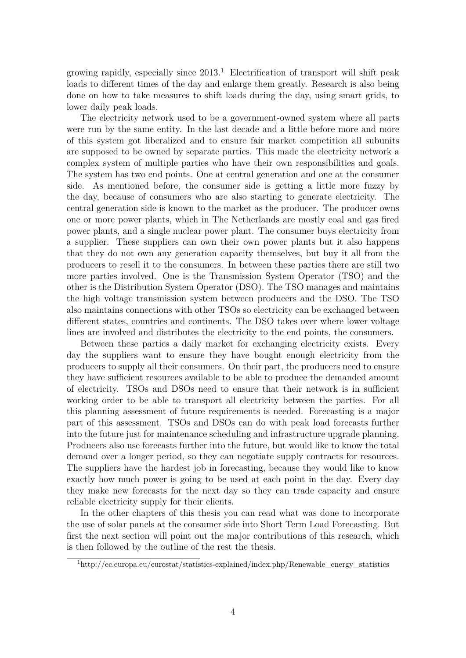growing rapidly, especially since  $2013<sup>1</sup>$  Electrification of transport will shift peak loads to different times of the day and enlarge them greatly. Research is also being done on how to take measures to shift loads during the day, using smart grids, to lower daily peak loads.

The electricity network used to be a government-owned system where all parts were run by the same entity. In the last decade and a little before more and more of this system got liberalized and to ensure fair market competition all subunits are supposed to be owned by separate parties. This made the electricity network a complex system of multiple parties who have their own responsibilities and goals. The system has two end points. One at central generation and one at the consumer side. As mentioned before, the consumer side is getting a little more fuzzy by the day, because of consumers who are also starting to generate electricity. The central generation side is known to the market as the producer. The producer owns one or more power plants, which in The Netherlands are mostly coal and gas fired power plants, and a single nuclear power plant. The consumer buys electricity from a supplier. These suppliers can own their own power plants but it also happens that they do not own any generation capacity themselves, but buy it all from the producers to resell it to the consumers. In between these parties there are still two more parties involved. One is the Transmission System Operator (TSO) and the other is the Distribution System Operator (DSO). The TSO manages and maintains the high voltage transmission system between producers and the DSO. The TSO also maintains connections with other TSOs so electricity can be exchanged between different states, countries and continents. The DSO takes over where lower voltage lines are involved and distributes the electricity to the end points, the consumers.

Between these parties a daily market for exchanging electricity exists. Every day the suppliers want to ensure they have bought enough electricity from the producers to supply all their consumers. On their part, the producers need to ensure they have sufficient resources available to be able to produce the demanded amount of electricity. TSOs and DSOs need to ensure that their network is in sufficient working order to be able to transport all electricity between the parties. For all this planning assessment of future requirements is needed. Forecasting is a major part of this assessment. TSOs and DSOs can do with peak load forecasts further into the future just for maintenance scheduling and infrastructure upgrade planning. Producers also use forecasts further into the future, but would like to know the total demand over a longer period, so they can negotiate supply contracts for resources. The suppliers have the hardest job in forecasting, because they would like to know exactly how much power is going to be used at each point in the day. Every day they make new forecasts for the next day so they can trade capacity and ensure reliable electricity supply for their clients.

In the other chapters of this thesis you can read what was done to incorporate the use of solar panels at the consumer side into Short Term Load Forecasting. But first the next section will point out the major contributions of this research, which is then followed by the outline of the rest the thesis.

 $1<sup>1</sup>$ http://ec.europa.eu/eurostat/statistics-explained/index.php/Renewable\_energy\_statistics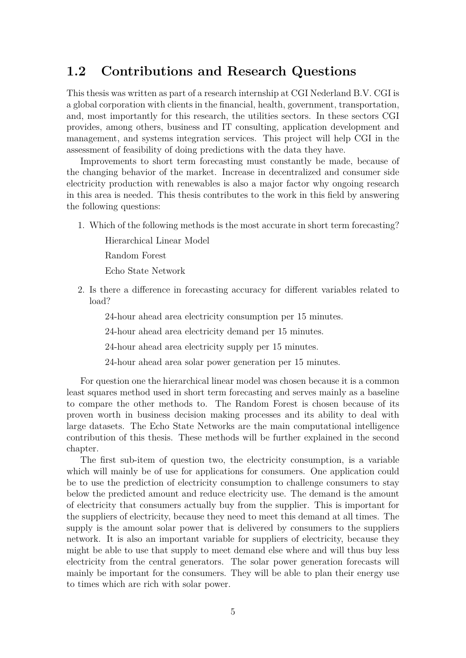## **1.2 Contributions and Research Questions**

This thesis was written as part of a research internship at CGI Nederland B.V. CGI is a global corporation with clients in the financial, health, government, transportation, and, most importantly for this research, the utilities sectors. In these sectors CGI provides, among others, business and IT consulting, application development and management, and systems integration services. This project will help CGI in the assessment of feasibility of doing predictions with the data they have.

Improvements to short term forecasting must constantly be made, because of the changing behavior of the market. Increase in decentralized and consumer side electricity production with renewables is also a major factor why ongoing research in this area is needed. This thesis contributes to the work in this field by answering the following questions:

1. Which of the following methods is the most accurate in short term forecasting?

Hierarchical Linear Model

Random Forest

Echo State Network

2. Is there a difference in forecasting accuracy for different variables related to load?

24-hour ahead area electricity consumption per 15 minutes.

24-hour ahead area electricity demand per 15 minutes.

24-hour ahead area electricity supply per 15 minutes.

24-hour ahead area solar power generation per 15 minutes.

For question one the hierarchical linear model was chosen because it is a common least squares method used in short term forecasting and serves mainly as a baseline to compare the other methods to. The Random Forest is chosen because of its proven worth in business decision making processes and its ability to deal with large datasets. The Echo State Networks are the main computational intelligence contribution of this thesis. These methods will be further explained in the second chapter.

The first sub-item of question two, the electricity consumption, is a variable which will mainly be of use for applications for consumers. One application could be to use the prediction of electricity consumption to challenge consumers to stay below the predicted amount and reduce electricity use. The demand is the amount of electricity that consumers actually buy from the supplier. This is important for the suppliers of electricity, because they need to meet this demand at all times. The supply is the amount solar power that is delivered by consumers to the suppliers network. It is also an important variable for suppliers of electricity, because they might be able to use that supply to meet demand else where and will thus buy less electricity from the central generators. The solar power generation forecasts will mainly be important for the consumers. They will be able to plan their energy use to times which are rich with solar power.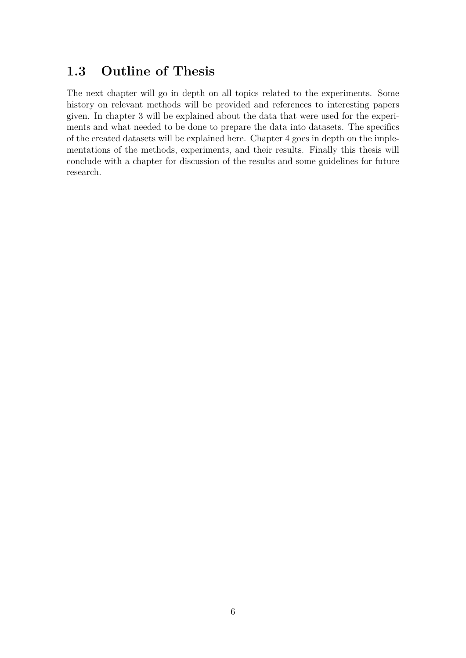## **1.3 Outline of Thesis**

The next chapter will go in depth on all topics related to the experiments. Some history on relevant methods will be provided and references to interesting papers given. In chapter 3 will be explained about the data that were used for the experiments and what needed to be done to prepare the data into datasets. The specifics of the created datasets will be explained here. Chapter 4 goes in depth on the implementations of the methods, experiments, and their results. Finally this thesis will conclude with a chapter for discussion of the results and some guidelines for future research.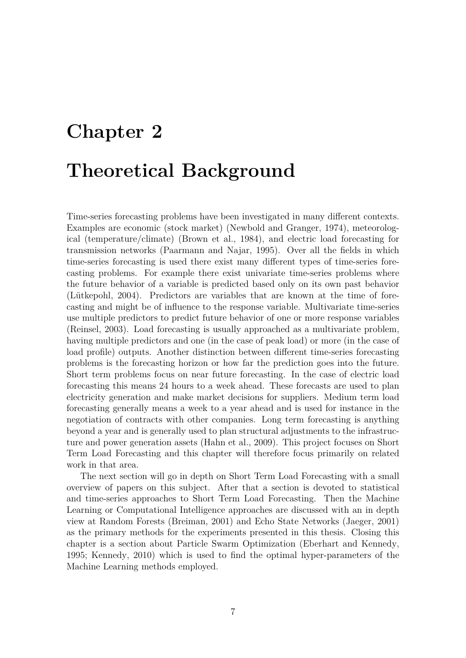# **Chapter 2 Theoretical Background**

Time-series forecasting problems have been investigated in many different contexts. Examples are economic (stock market) (Newbold and Granger, 1974), meteorological (temperature/climate) (Brown et al., 1984), and electric load forecasting for transmission networks (Paarmann and Najar, 1995). Over all the fields in which time-series forecasting is used there exist many different types of time-series forecasting problems. For example there exist univariate time-series problems where the future behavior of a variable is predicted based only on its own past behavior (Lütkepohl, 2004). Predictors are variables that are known at the time of forecasting and might be of influence to the response variable. Multivariate time-series use multiple predictors to predict future behavior of one or more response variables (Reinsel, 2003). Load forecasting is usually approached as a multivariate problem, having multiple predictors and one (in the case of peak load) or more (in the case of load profile) outputs. Another distinction between different time-series forecasting problems is the forecasting horizon or how far the prediction goes into the future. Short term problems focus on near future forecasting. In the case of electric load forecasting this means 24 hours to a week ahead. These forecasts are used to plan electricity generation and make market decisions for suppliers. Medium term load forecasting generally means a week to a year ahead and is used for instance in the negotiation of contracts with other companies. Long term forecasting is anything beyond a year and is generally used to plan structural adjustments to the infrastructure and power generation assets (Hahn et al., 2009). This project focuses on Short Term Load Forecasting and this chapter will therefore focus primarily on related work in that area.

The next section will go in depth on Short Term Load Forecasting with a small overview of papers on this subject. After that a section is devoted to statistical and time-series approaches to Short Term Load Forecasting. Then the Machine Learning or Computational Intelligence approaches are discussed with an in depth view at Random Forests (Breiman, 2001) and Echo State Networks (Jaeger, 2001) as the primary methods for the experiments presented in this thesis. Closing this chapter is a section about Particle Swarm Optimization (Eberhart and Kennedy, 1995; Kennedy, 2010) which is used to find the optimal hyper-parameters of the Machine Learning methods employed.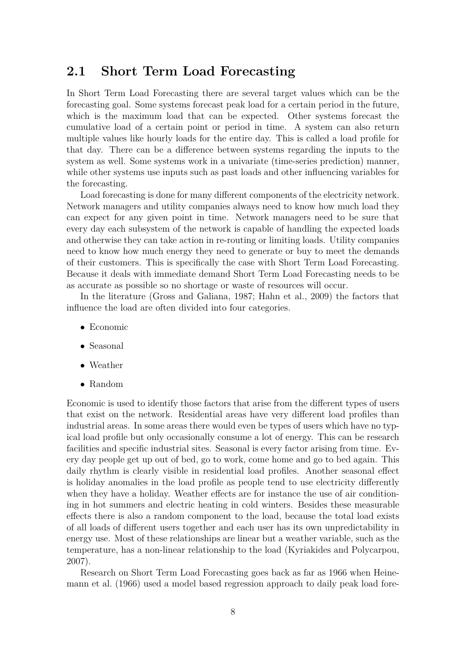### **2.1 Short Term Load Forecasting**

In Short Term Load Forecasting there are several target values which can be the forecasting goal. Some systems forecast peak load for a certain period in the future, which is the maximum load that can be expected. Other systems forecast the cumulative load of a certain point or period in time. A system can also return multiple values like hourly loads for the entire day. This is called a load profile for that day. There can be a difference between systems regarding the inputs to the system as well. Some systems work in a univariate (time-series prediction) manner, while other systems use inputs such as past loads and other influencing variables for the forecasting.

Load forecasting is done for many different components of the electricity network. Network managers and utility companies always need to know how much load they can expect for any given point in time. Network managers need to be sure that every day each subsystem of the network is capable of handling the expected loads and otherwise they can take action in re-routing or limiting loads. Utility companies need to know how much energy they need to generate or buy to meet the demands of their customers. This is specifically the case with Short Term Load Forecasting. Because it deals with immediate demand Short Term Load Forecasting needs to be as accurate as possible so no shortage or waste of resources will occur.

In the literature (Gross and Galiana, 1987; Hahn et al., 2009) the factors that influence the load are often divided into four categories.

- Economic
- Seasonal
- Weather
- Random

Economic is used to identify those factors that arise from the different types of users that exist on the network. Residential areas have very different load profiles than industrial areas. In some areas there would even be types of users which have no typical load profile but only occasionally consume a lot of energy. This can be research facilities and specific industrial sites. Seasonal is every factor arising from time. Every day people get up out of bed, go to work, come home and go to bed again. This daily rhythm is clearly visible in residential load profiles. Another seasonal effect is holiday anomalies in the load profile as people tend to use electricity differently when they have a holiday. Weather effects are for instance the use of air conditioning in hot summers and electric heating in cold winters. Besides these measurable effects there is also a random component to the load, because the total load exists of all loads of different users together and each user has its own unpredictability in energy use. Most of these relationships are linear but a weather variable, such as the temperature, has a non-linear relationship to the load (Kyriakides and Polycarpou, 2007).

Research on Short Term Load Forecasting goes back as far as 1966 when Heinemann et al. (1966) used a model based regression approach to daily peak load fore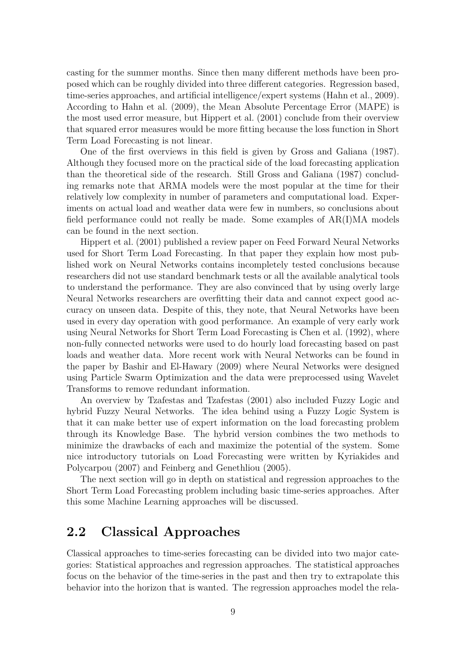casting for the summer months. Since then many different methods have been proposed which can be roughly divided into three different categories. Regression based, time-series approaches, and artificial intelligence/expert systems (Hahn et al., 2009). According to Hahn et al. (2009), the Mean Absolute Percentage Error (MAPE) is the most used error measure, but Hippert et al. (2001) conclude from their overview that squared error measures would be more fitting because the loss function in Short Term Load Forecasting is not linear.

One of the first overviews in this field is given by Gross and Galiana (1987). Although they focused more on the practical side of the load forecasting application than the theoretical side of the research. Still Gross and Galiana (1987) concluding remarks note that ARMA models were the most popular at the time for their relatively low complexity in number of parameters and computational load. Experiments on actual load and weather data were few in numbers, so conclusions about field performance could not really be made. Some examples of AR(I)MA models can be found in the next section.

Hippert et al. (2001) published a review paper on Feed Forward Neural Networks used for Short Term Load Forecasting. In that paper they explain how most published work on Neural Networks contains incompletely tested conclusions because researchers did not use standard benchmark tests or all the available analytical tools to understand the performance. They are also convinced that by using overly large Neural Networks researchers are overfitting their data and cannot expect good accuracy on unseen data. Despite of this, they note, that Neural Networks have been used in every day operation with good performance. An example of very early work using Neural Networks for Short Term Load Forecasting is Chen et al. (1992), where non-fully connected networks were used to do hourly load forecasting based on past loads and weather data. More recent work with Neural Networks can be found in the paper by Bashir and El-Hawary (2009) where Neural Networks were designed using Particle Swarm Optimization and the data were preprocessed using Wavelet Transforms to remove redundant information.

An overview by Tzafestas and Tzafestas (2001) also included Fuzzy Logic and hybrid Fuzzy Neural Networks. The idea behind using a Fuzzy Logic System is that it can make better use of expert information on the load forecasting problem through its Knowledge Base. The hybrid version combines the two methods to minimize the drawbacks of each and maximize the potential of the system. Some nice introductory tutorials on Load Forecasting were written by Kyriakides and Polycarpou (2007) and Feinberg and Genethliou (2005).

The next section will go in depth on statistical and regression approaches to the Short Term Load Forecasting problem including basic time-series approaches. After this some Machine Learning approaches will be discussed.

## **2.2 Classical Approaches**

Classical approaches to time-series forecasting can be divided into two major categories: Statistical approaches and regression approaches. The statistical approaches focus on the behavior of the time-series in the past and then try to extrapolate this behavior into the horizon that is wanted. The regression approaches model the rela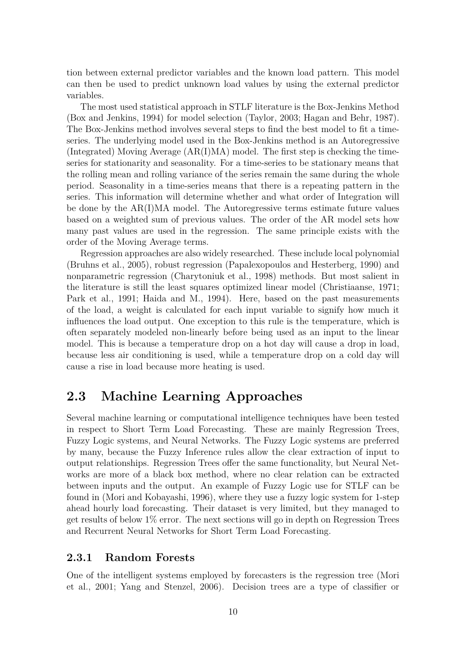tion between external predictor variables and the known load pattern. This model can then be used to predict unknown load values by using the external predictor variables.

The most used statistical approach in STLF literature is the Box-Jenkins Method (Box and Jenkins, 1994) for model selection (Taylor, 2003; Hagan and Behr, 1987). The Box-Jenkins method involves several steps to find the best model to fit a timeseries. The underlying model used in the Box-Jenkins method is an Autoregressive (Integrated) Moving Average (AR(I)MA) model. The first step is checking the timeseries for stationarity and seasonality. For a time-series to be stationary means that the rolling mean and rolling variance of the series remain the same during the whole period. Seasonality in a time-series means that there is a repeating pattern in the series. This information will determine whether and what order of Integration will be done by the AR(I)MA model. The Autoregressive terms estimate future values based on a weighted sum of previous values. The order of the AR model sets how many past values are used in the regression. The same principle exists with the order of the Moving Average terms.

Regression approaches are also widely researched. These include local polynomial (Bruhns et al., 2005), robust regression (Papalexopoulos and Hesterberg, 1990) and nonparametric regression (Charytoniuk et al., 1998) methods. But most salient in the literature is still the least squares optimized linear model (Christiaanse, 1971; Park et al., 1991; Haida and M., 1994). Here, based on the past measurements of the load, a weight is calculated for each input variable to signify how much it influences the load output. One exception to this rule is the temperature, which is often separately modeled non-linearly before being used as an input to the linear model. This is because a temperature drop on a hot day will cause a drop in load, because less air conditioning is used, while a temperature drop on a cold day will cause a rise in load because more heating is used.

## **2.3 Machine Learning Approaches**

Several machine learning or computational intelligence techniques have been tested in respect to Short Term Load Forecasting. These are mainly Regression Trees, Fuzzy Logic systems, and Neural Networks. The Fuzzy Logic systems are preferred by many, because the Fuzzy Inference rules allow the clear extraction of input to output relationships. Regression Trees offer the same functionality, but Neural Networks are more of a black box method, where no clear relation can be extracted between inputs and the output. An example of Fuzzy Logic use for STLF can be found in (Mori and Kobayashi, 1996), where they use a fuzzy logic system for 1-step ahead hourly load forecasting. Their dataset is very limited, but they managed to get results of below 1% error. The next sections will go in depth on Regression Trees and Recurrent Neural Networks for Short Term Load Forecasting.

#### **2.3.1 Random Forests**

One of the intelligent systems employed by forecasters is the regression tree (Mori et al., 2001; Yang and Stenzel, 2006). Decision trees are a type of classifier or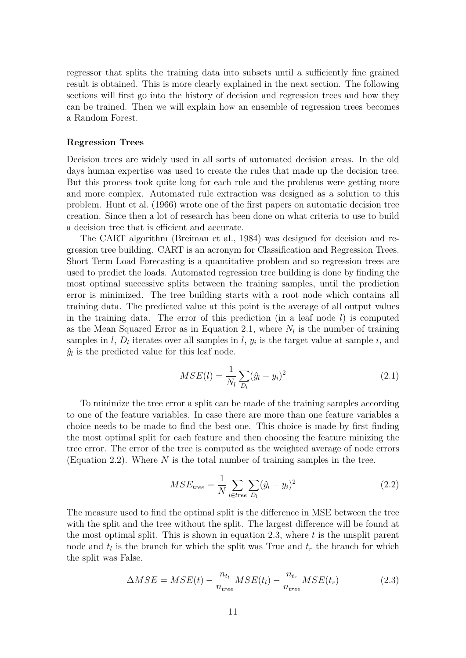regressor that splits the training data into subsets until a sufficiently fine grained result is obtained. This is more clearly explained in the next section. The following sections will first go into the history of decision and regression trees and how they can be trained. Then we will explain how an ensemble of regression trees becomes a Random Forest.

#### **Regression Trees**

Decision trees are widely used in all sorts of automated decision areas. In the old days human expertise was used to create the rules that made up the decision tree. But this process took quite long for each rule and the problems were getting more and more complex. Automated rule extraction was designed as a solution to this problem. Hunt et al. (1966) wrote one of the first papers on automatic decision tree creation. Since then a lot of research has been done on what criteria to use to build a decision tree that is efficient and accurate.

The CART algorithm (Breiman et al., 1984) was designed for decision and regression tree building. CART is an acronym for Classification and Regression Trees. Short Term Load Forecasting is a quantitative problem and so regression trees are used to predict the loads. Automated regression tree building is done by finding the most optimal successive splits between the training samples, until the prediction error is minimized. The tree building starts with a root node which contains all training data. The predicted value at this point is the average of all output values in the training data. The error of this prediction (in a leaf node *l*) is computed as the Mean Squared Error as in Equation 2.1, where  $N_l$  is the number of training samples in  $l$ ,  $D_l$  iterates over all samples in  $l$ ,  $y_i$  is the target value at sample  $i$ , and  $\hat{y}_l$  is the predicted value for this leaf node.

$$
MSE(l) = \frac{1}{N_l} \sum_{D_l} (\hat{y}_l - y_i)^2
$$
\n(2.1)

To minimize the tree error a split can be made of the training samples according to one of the feature variables. In case there are more than one feature variables a choice needs to be made to find the best one. This choice is made by first finding the most optimal split for each feature and then choosing the feature minizing the tree error. The error of the tree is computed as the weighted average of node errors (Equation 2.2). Where *N* is the total number of training samples in the tree.

$$
MSE_{tree} = \frac{1}{N} \sum_{l \in tree} \sum_{D_l} (\hat{y}_l - y_i)^2
$$
 (2.2)

The measure used to find the optimal split is the difference in MSE between the tree with the split and the tree without the split. The largest difference will be found at the most optimal split. This is shown in equation 2.3, where *t* is the unsplit parent node and  $t_l$  is the branch for which the split was True and  $t_r$  the branch for which the split was False.

$$
\Delta MSE = MSE(t) - \frac{n_{t_l}}{n_{tree}} MSE(t_l) - \frac{n_{t_r}}{n_{tree}} MSE(t_r)
$$
\n(2.3)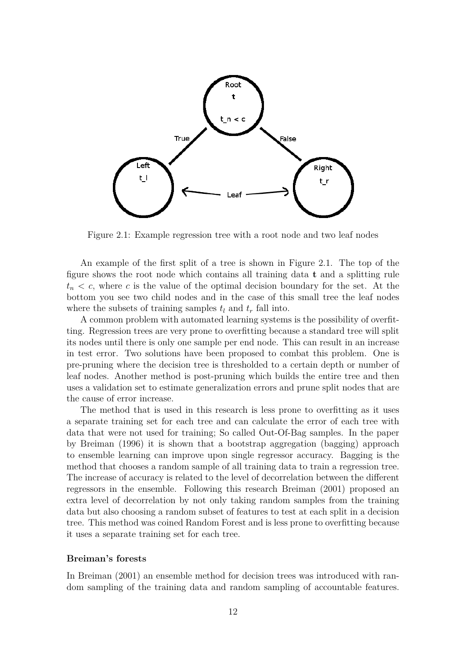

Figure 2.1: Example regression tree with a root node and two leaf nodes

An example of the first split of a tree is shown in Figure 2.1. The top of the figure shows the root node which contains all training data **t** and a splitting rule  $t_n < c$ , where *c* is the value of the optimal decision boundary for the set. At the bottom you see two child nodes and in the case of this small tree the leaf nodes where the subsets of training samples  $t_l$  and  $t_r$  fall into.

A common problem with automated learning systems is the possibility of overfitting. Regression trees are very prone to overfitting because a standard tree will split its nodes until there is only one sample per end node. This can result in an increase in test error. Two solutions have been proposed to combat this problem. One is pre-pruning where the decision tree is thresholded to a certain depth or number of leaf nodes. Another method is post-pruning which builds the entire tree and then uses a validation set to estimate generalization errors and prune split nodes that are the cause of error increase.

The method that is used in this research is less prone to overfitting as it uses a separate training set for each tree and can calculate the error of each tree with data that were not used for training; So called Out-Of-Bag samples. In the paper by Breiman (1996) it is shown that a bootstrap aggregation (bagging) approach to ensemble learning can improve upon single regressor accuracy. Bagging is the method that chooses a random sample of all training data to train a regression tree. The increase of accuracy is related to the level of decorrelation between the different regressors in the ensemble. Following this research Breiman (2001) proposed an extra level of decorrelation by not only taking random samples from the training data but also choosing a random subset of features to test at each split in a decision tree. This method was coined Random Forest and is less prone to overfitting because it uses a separate training set for each tree.

#### **Breiman's forests**

In Breiman (2001) an ensemble method for decision trees was introduced with random sampling of the training data and random sampling of accountable features.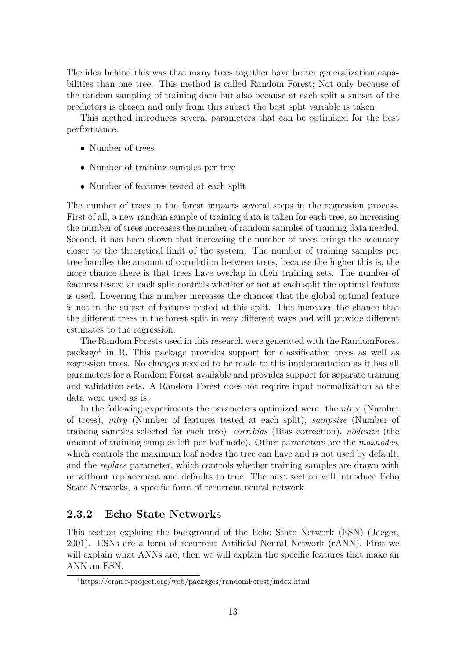The idea behind this was that many trees together have better generalization capabilities than one tree. This method is called Random Forest; Not only because of the random sampling of training data but also because at each split a subset of the predictors is chosen and only from this subset the best split variable is taken.

This method introduces several parameters that can be optimized for the best performance.

- Number of trees
- Number of training samples per tree
- Number of features tested at each split

The number of trees in the forest impacts several steps in the regression process. First of all, a new random sample of training data is taken for each tree, so increasing the number of trees increases the number of random samples of training data needed. Second, it has been shown that increasing the number of trees brings the accuracy closer to the theoretical limit of the system. The number of training samples per tree handles the amount of correlation between trees, because the higher this is, the more chance there is that trees have overlap in their training sets. The number of features tested at each split controls whether or not at each split the optimal feature is used. Lowering this number increases the chances that the global optimal feature is not in the subset of features tested at this split. This increases the chance that the different trees in the forest split in very different ways and will provide different estimates to the regression.

The Random Forests used in this research were generated with the RandomForest package<sup>1</sup> in R. This package provides support for classification trees as well as regression trees. No changes needed to be made to this implementation as it has all parameters for a Random Forest available and provides support for separate training and validation sets. A Random Forest does not require input normalization so the data were used as is.

In the following experiments the parameters optimized were: the *ntree* (Number of trees), *mtry* (Number of features tested at each split), *sampsize* (Number of training samples selected for each tree), *corr.bias* (Bias correction), *nodesize* (the amount of training samples left per leaf node). Other parameters are the *maxnodes*, which controls the maximum leaf nodes the tree can have and is not used by default, and the *replace* parameter, which controls whether training samples are drawn with or without replacement and defaults to true. The next section will introduce Echo State Networks, a specific form of recurrent neural network.

#### **2.3.2 Echo State Networks**

This section explains the background of the Echo State Network (ESN) (Jaeger, 2001). ESNs are a form of recurrent Artificial Neural Network (rANN). First we will explain what ANNs are, then we will explain the specific features that make an ANN an ESN.

<sup>1</sup>https://cran.r-project.org/web/packages/randomForest/index.html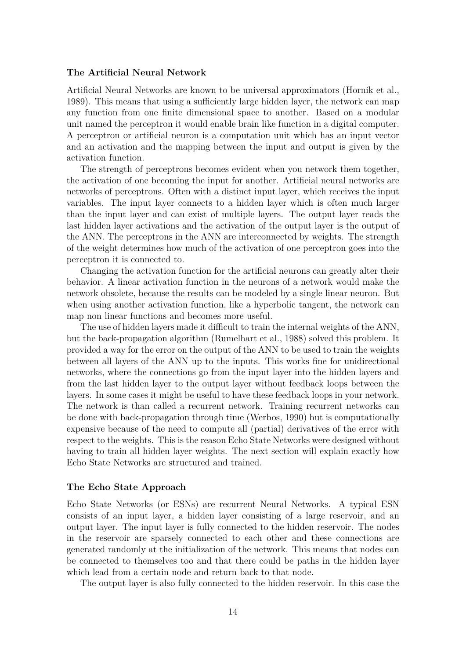#### **The Artificial Neural Network**

Artificial Neural Networks are known to be universal approximators (Hornik et al., 1989). This means that using a sufficiently large hidden layer, the network can map any function from one finite dimensional space to another. Based on a modular unit named the perceptron it would enable brain like function in a digital computer. A perceptron or artificial neuron is a computation unit which has an input vector and an activation and the mapping between the input and output is given by the activation function.

The strength of perceptrons becomes evident when you network them together, the activation of one becoming the input for another. Artificial neural networks are networks of perceptrons. Often with a distinct input layer, which receives the input variables. The input layer connects to a hidden layer which is often much larger than the input layer and can exist of multiple layers. The output layer reads the last hidden layer activations and the activation of the output layer is the output of the ANN. The perceptrons in the ANN are interconnected by weights. The strength of the weight determines how much of the activation of one perceptron goes into the perceptron it is connected to.

Changing the activation function for the artificial neurons can greatly alter their behavior. A linear activation function in the neurons of a network would make the network obsolete, because the results can be modeled by a single linear neuron. But when using another activation function, like a hyperbolic tangent, the network can map non linear functions and becomes more useful.

The use of hidden layers made it difficult to train the internal weights of the ANN, but the back-propagation algorithm (Rumelhart et al., 1988) solved this problem. It provided a way for the error on the output of the ANN to be used to train the weights between all layers of the ANN up to the inputs. This works fine for unidirectional networks, where the connections go from the input layer into the hidden layers and from the last hidden layer to the output layer without feedback loops between the layers. In some cases it might be useful to have these feedback loops in your network. The network is than called a recurrent network. Training recurrent networks can be done with back-propagation through time (Werbos, 1990) but is computationally expensive because of the need to compute all (partial) derivatives of the error with respect to the weights. This is the reason Echo State Networks were designed without having to train all hidden layer weights. The next section will explain exactly how Echo State Networks are structured and trained.

#### **The Echo State Approach**

Echo State Networks (or ESNs) are recurrent Neural Networks. A typical ESN consists of an input layer, a hidden layer consisting of a large reservoir, and an output layer. The input layer is fully connected to the hidden reservoir. The nodes in the reservoir are sparsely connected to each other and these connections are generated randomly at the initialization of the network. This means that nodes can be connected to themselves too and that there could be paths in the hidden layer which lead from a certain node and return back to that node.

The output layer is also fully connected to the hidden reservoir. In this case the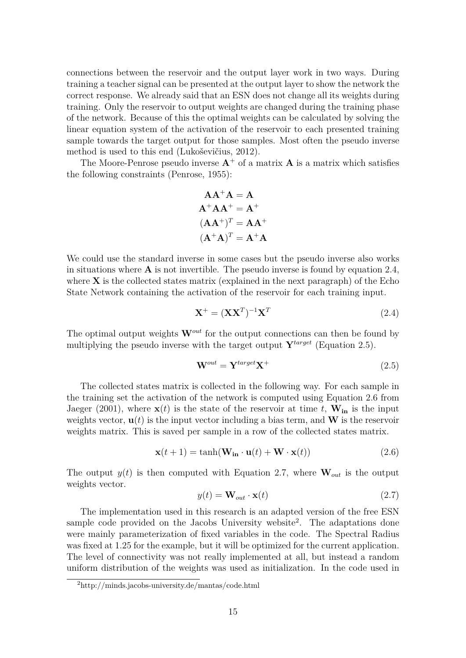connections between the reservoir and the output layer work in two ways. During training a teacher signal can be presented at the output layer to show the network the correct response. We already said that an ESN does not change all its weights during training. Only the reservoir to output weights are changed during the training phase of the network. Because of this the optimal weights can be calculated by solving the linear equation system of the activation of the reservoir to each presented training sample towards the target output for those samples. Most often the pseudo inverse method is used to this end (Lukoševičius, 2012).

The Moore-Penrose pseudo inverse  $A^+$  of a matrix A is a matrix which satisfies the following constraints (Penrose, 1955):

$$
AA^{+}A = A
$$
  
\n
$$
A^{+}AA^{+} = A^{+}
$$
  
\n
$$
(AA^{+})^{T} = AA^{+}
$$
  
\n
$$
(A^{+}A)^{T} = A^{+}A
$$

We could use the standard inverse in some cases but the pseudo inverse also works in situations where **A** is not invertible. The pseudo inverse is found by equation 2.4, where **X** is the collected states matrix (explained in the next paragraph) of the Echo State Network containing the activation of the reservoir for each training input.

$$
\mathbf{X}^+ = (\mathbf{X}\mathbf{X}^T)^{-1}\mathbf{X}^T
$$
\n(2.4)

The optimal output weights  $\mathbf{W}^{out}$  for the output connections can then be found by multiplying the pseudo inverse with the target output  $\mathbf{Y}^{target}$  (Equation 2.5).

$$
\mathbf{W}^{out} = \mathbf{Y}^{target} \mathbf{X}^{+}
$$
\n<sup>(2.5)</sup>

The collected states matrix is collected in the following way. For each sample in the training set the activation of the network is computed using Equation 2.6 from Jaeger (2001), where  $\mathbf{x}(t)$  is the state of the reservoir at time *t*,  $\mathbf{W}_{in}$  is the input weights vector,  $\mathbf{u}(t)$  is the input vector including a bias term, and **W** is the reservoir weights matrix. This is saved per sample in a row of the collected states matrix.

$$
\mathbf{x}(t+1) = \tanh(\mathbf{W}_{in} \cdot \mathbf{u}(t) + \mathbf{W} \cdot \mathbf{x}(t))
$$
\n(2.6)

The output  $y(t)$  is then computed with Equation 2.7, where  $\mathbf{W}_{out}$  is the output weights vector.

$$
y(t) = \mathbf{W}_{out} \cdot \mathbf{x}(t) \tag{2.7}
$$

The implementation used in this research is an adapted version of the free ESN sample code provided on the Jacobs University website<sup>2</sup>. The adaptations done were mainly parameterization of fixed variables in the code. The Spectral Radius was fixed at 1*.*25 for the example, but it will be optimized for the current application. The level of connectivity was not really implemented at all, but instead a random uniform distribution of the weights was used as initialization. In the code used in

<sup>2</sup>http://minds.jacobs-university.de/mantas/code.html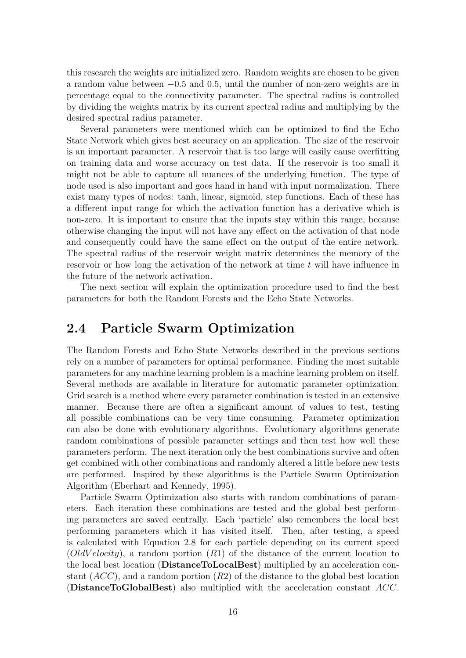this research the weights are initialized zero. Random weights are chosen to be given a random value between −0*.*5 and 0*.*5, until the number of non-zero weights are in percentage equal to the connectivity parameter. The spectral radius is controlled by dividing the weights matrix by its current spectral radius and multiplying by the desired spectral radius parameter.

Several parameters were mentioned which can be optimized to find the Echo State Network which gives best accuracy on an application. The size of the reservoir is an important parameter. A reservoir that is too large will easily cause overfitting on training data and worse accuracy on test data. If the reservoir is too small it might not be able to capture all nuances of the underlying function. The type of node used is also important and goes hand in hand with input normalization. There exist many types of nodes: tanh, linear, sigmoïd, step functions. Each of these has a different input range for which the activation function has a derivative which is non-zero. It is important to ensure that the inputs stay within this range, because otherwise changing the input will not have any effect on the activation of that node and consequently could have the same effect on the output of the entire network. The spectral radius of the reservoir weight matrix determines the memory of the reservoir or how long the activation of the network at time *t* will have influence in the future of the network activation.

The next section will explain the optimization procedure used to find the best parameters for both the Random Forests and the Echo State Networks.

### **2.4 Particle Swarm Optimization**

The Random Forests and Echo State Networks described in the previous sections rely on a number of parameters for optimal performance. Finding the most suitable parameters for any machine learning problem is a machine learning problem on itself. Several methods are available in literature for automatic parameter optimization. Grid search is a method where every parameter combination is tested in an extensive manner. Because there are often a significant amount of values to test, testing all possible combinations can be very time consuming. Parameter optimization can also be done with evolutionary algorithms. Evolutionary algorithms generate random combinations of possible parameter settings and then test how well these parameters perform. The next iteration only the best combinations survive and often get combined with other combinations and randomly altered a little before new tests are performed. Inspired by these algorithms is the Particle Swarm Optimization Algorithm (Eberhart and Kennedy, 1995).

Particle Swarm Optimization also starts with random combinations of parameters. Each iteration these combinations are tested and the global best performing parameters are saved centrally. Each 'particle' also remembers the local best performing parameters which it has visited itself. Then, after testing, a speed is calculated with Equation 2.8 for each particle depending on its current speed (*OldV elocity*), a random portion (*R*1) of the distance of the current location to the local best location (**DistanceToLocalBest**) multiplied by an acceleration constant (*ACC*), and a random portion (*R*2) of the distance to the global best location (**DistanceToGlobalBest**) also multiplied with the acceleration constant *ACC*.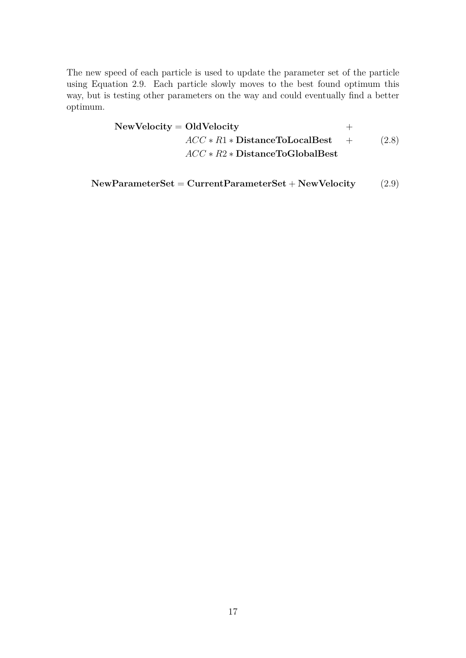The new speed of each particle is used to update the parameter set of the particle using Equation 2.9. Each particle slowly moves to the best found optimum this way, but is testing other parameters on the way and could eventually find a better optimum.

> **NewVelocity** = **OldVelocity** + *ACC* ∗ *R*1 ∗ **DistanceToLocalBest** + *ACC* ∗ *R*2 ∗ **DistanceToGlobalBest** (2.8)

**NewParameterSet** = **CurrentParameterSet** + **NewVelocity** (2.9)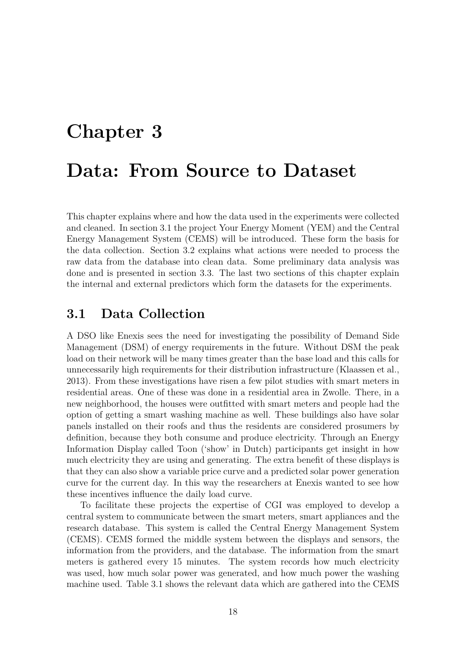# **Chapter 3 Data: From Source to Dataset**

This chapter explains where and how the data used in the experiments were collected and cleaned. In section 3.1 the project Your Energy Moment (YEM) and the Central Energy Management System (CEMS) will be introduced. These form the basis for the data collection. Section 3.2 explains what actions were needed to process the raw data from the database into clean data. Some preliminary data analysis was done and is presented in section 3.3. The last two sections of this chapter explain the internal and external predictors which form the datasets for the experiments.

## **3.1 Data Collection**

A DSO like Enexis sees the need for investigating the possibility of Demand Side Management (DSM) of energy requirements in the future. Without DSM the peak load on their network will be many times greater than the base load and this calls for unnecessarily high requirements for their distribution infrastructure (Klaassen et al., 2013). From these investigations have risen a few pilot studies with smart meters in residential areas. One of these was done in a residential area in Zwolle. There, in a new neighborhood, the houses were outfitted with smart meters and people had the option of getting a smart washing machine as well. These buildings also have solar panels installed on their roofs and thus the residents are considered prosumers by definition, because they both consume and produce electricity. Through an Energy Information Display called Toon ('show' in Dutch) participants get insight in how much electricity they are using and generating. The extra benefit of these displays is that they can also show a variable price curve and a predicted solar power generation curve for the current day. In this way the researchers at Enexis wanted to see how these incentives influence the daily load curve.

To facilitate these projects the expertise of CGI was employed to develop a central system to communicate between the smart meters, smart appliances and the research database. This system is called the Central Energy Management System (CEMS). CEMS formed the middle system between the displays and sensors, the information from the providers, and the database. The information from the smart meters is gathered every 15 minutes. The system records how much electricity was used, how much solar power was generated, and how much power the washing machine used. Table 3.1 shows the relevant data which are gathered into the CEMS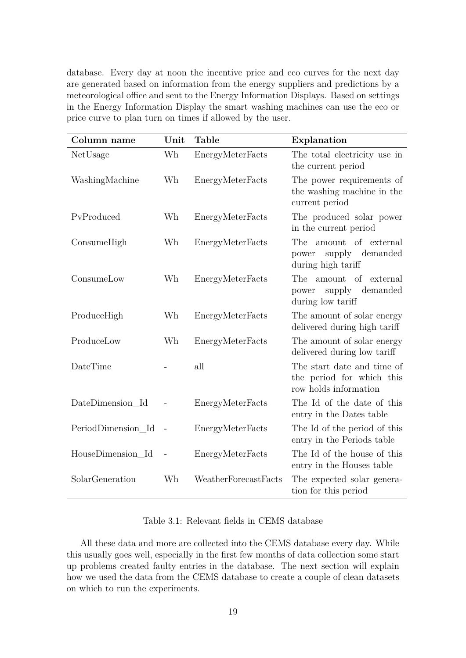database. Every day at noon the incentive price and eco curves for the next day are generated based on information from the energy suppliers and predictions by a meteorological office and sent to the Energy Information Displays. Based on settings in the Energy Information Display the smart washing machines can use the eco or price curve to plan turn on times if allowed by the user.

| Column name        | Unit           | <b>Table</b>         | Explanation                                                                        |
|--------------------|----------------|----------------------|------------------------------------------------------------------------------------|
| NetUsage           | Wh             | EnergyMeterFacts     | The total electricity use in<br>the current period                                 |
| WashingMachine     | Wh             | EnergyMeterFacts     | The power requirements of<br>the washing machine in the<br>current period          |
| PvProduced         | Wh             | EnergyMeterFacts     | The produced solar power<br>in the current period                                  |
| ConsumeHigh        | Wh             | EnergyMeterFacts     | <b>The</b><br>amount of external<br>supply demanded<br>power<br>during high tariff |
| ConsumeLow         | Wh             | EnergyMeterFacts     | The<br>amount of external<br>supply<br>demanded<br>power<br>during low tariff      |
| ProduceHigh        | Wh             | EnergyMeterFacts     | The amount of solar energy<br>delivered during high tariff                         |
| ProduceLow         | Wh             | EnergyMeterFacts     | The amount of solar energy<br>delivered during low tariff                          |
| DateTime           |                | all                  | The start date and time of<br>the period for which this<br>row holds information   |
| DateDimension Id   |                | EnergyMeterFacts     | The Id of the date of this<br>entry in the Dates table                             |
| PeriodDimension Id | $\overline{a}$ | EnergyMeterFacts     | The Id of the period of this<br>entry in the Periods table                         |
| HouseDimension Id  |                | EnergyMeterFacts     | The Id of the house of this<br>entry in the Houses table                           |
| SolarGeneration    | Wh             | WeatherForecastFacts | The expected solar genera-<br>tion for this period                                 |

Table 3.1: Relevant fields in CEMS database

All these data and more are collected into the CEMS database every day. While this usually goes well, especially in the first few months of data collection some start up problems created faulty entries in the database. The next section will explain how we used the data from the CEMS database to create a couple of clean datasets on which to run the experiments.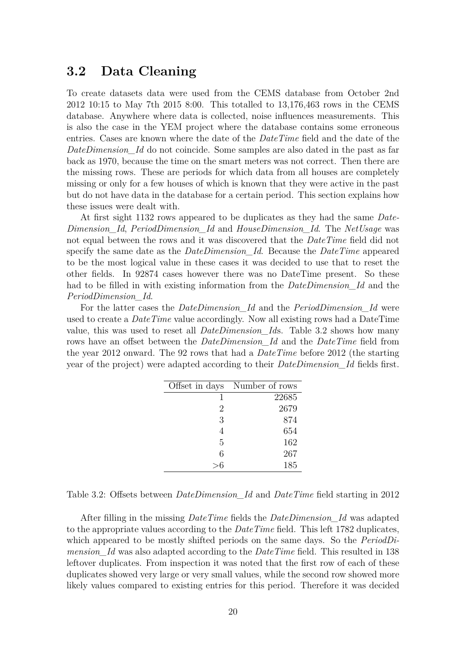#### **3.2 Data Cleaning**

To create datasets data were used from the CEMS database from October 2nd 2012 10:15 to May 7th 2015 8:00. This totalled to 13,176,463 rows in the CEMS database. Anywhere where data is collected, noise influences measurements. This is also the case in the YEM project where the database contains some erroneous entries. Cases are known where the date of the *DateTime* field and the date of the *DateDimension\_Id* do not coincide. Some samples are also dated in the past as far back as 1970, because the time on the smart meters was not correct. Then there are the missing rows. These are periods for which data from all houses are completely missing or only for a few houses of which is known that they were active in the past but do not have data in the database for a certain period. This section explains how these issues were dealt with.

At first sight 1132 rows appeared to be duplicates as they had the same *Date-Dimension\_Id*, *PeriodDimension\_Id* and *HouseDimension\_Id*. The *NetUsage* was not equal between the rows and it was discovered that the *DateTime* field did not specify the same date as the *DateDimension\_Id*. Because the *DateTime* appeared to be the most logical value in these cases it was decided to use that to reset the other fields. In 92874 cases however there was no DateTime present. So these had to be filled in with existing information from the *DateDimension\_Id* and the *PeriodDimension\_Id*.

For the latter cases the *DateDimension\_Id* and the *PeriodDimension\_Id* were used to create a *DateTime* value accordingly. Now all existing rows had a DateTime value, this was used to reset all *DateDimension\_Id*s. Table 3.2 shows how many rows have an offset between the *DateDimension\_Id* and the *DateTime* field from the year 2012 onward. The 92 rows that had a *DateTime* before 2012 (the starting year of the project) were adapted according to their *DateDimension\_Id* fields first.

| Offset in days | Number of rows |
|----------------|----------------|
|                | 22685          |
| 2              | 2679           |
| 3              | 874            |
| 4              | 654            |
| 5              | 162            |
| 6              | 267            |
|                | 185            |

Table 3.2: Offsets between *DateDimension\_Id* and *DateTime* field starting in 2012

After filling in the missing *DateTime* fields the *DateDimension\_Id* was adapted to the appropriate values according to the *DateTime* field. This left 1782 duplicates, which appeared to be mostly shifted periods on the same days. So the *PeriodDimension\_Id* was also adapted according to the *DateTime* field. This resulted in 138 leftover duplicates. From inspection it was noted that the first row of each of these duplicates showed very large or very small values, while the second row showed more likely values compared to existing entries for this period. Therefore it was decided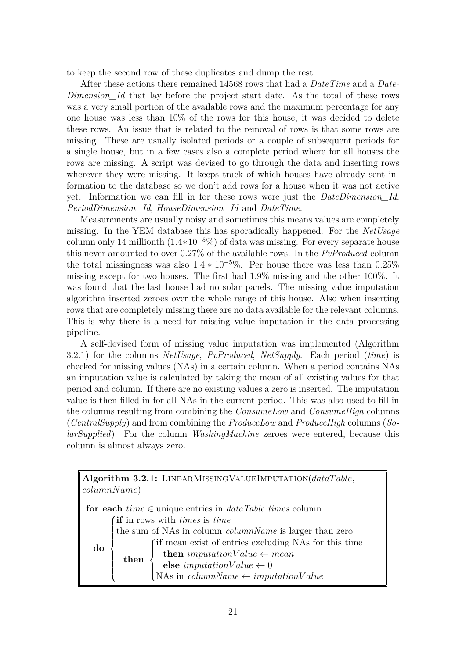to keep the second row of these duplicates and dump the rest.

After these actions there remained 14568 rows that had a *DateTime* and a *Date-Dimension\_Id* that lay before the project start date. As the total of these rows was a very small portion of the available rows and the maximum percentage for any one house was less than 10% of the rows for this house, it was decided to delete these rows. An issue that is related to the removal of rows is that some rows are missing. These are usually isolated periods or a couple of subsequent periods for a single house, but in a few cases also a complete period where for all houses the rows are missing. A script was devised to go through the data and inserting rows wherever they were missing. It keeps track of which houses have already sent information to the database so we don't add rows for a house when it was not active yet. Information we can fill in for these rows were just the *DateDimension\_Id*, *PeriodDimension\_Id*, *HouseDimension\_Id* and *DateTime*.

Measurements are usually noisy and sometimes this means values are completely missing. In the YEM database this has sporadically happened. For the *NetUsage* column only 14 millionth (1*.*4∗10<sup>−</sup><sup>5</sup>%) of data was missing. For every separate house this never amounted to over 0.27% of the available rows. In the *PvProduced* column the total missingness was also  $1.4 * 10^{-5}\%$ . Per house there was less than  $0.25\%$ missing except for two houses. The first had 1*.*9% missing and the other 100%. It was found that the last house had no solar panels. The missing value imputation algorithm inserted zeroes over the whole range of this house. Also when inserting rows that are completely missing there are no data available for the relevant columns. This is why there is a need for missing value imputation in the data processing pipeline.

A self-devised form of missing value imputation was implemented (Algorithm 3.2.1) for the columns *NetUsage*, *PvProduced*, *NetSupply*. Each period (*time*) is checked for missing values (NAs) in a certain column. When a period contains NAs an imputation value is calculated by taking the mean of all existing values for that period and column. If there are no existing values a zero is inserted. The imputation value is then filled in for all NAs in the current period. This was also used to fill in the columns resulting from combining the *ConsumeLow* and *ConsumeHigh* columns (*CentralSupply*) and from combining the *ProduceLow* and *ProduceHigh* columns (*SolarSupplied*). For the column *WashingMachine* zeroes were entered, because this column is almost always zero.

|             | Algorithm 3.2.1: LINEARMISSING VALUE IMPUTATION (dataTable,      |                                                                |  |  |  |  |
|-------------|------------------------------------------------------------------|----------------------------------------------------------------|--|--|--|--|
| columnName) |                                                                  |                                                                |  |  |  |  |
|             | for each $time \in$ unique entries in $dataTable \ times$ column |                                                                |  |  |  |  |
|             | (if in rows with <i>times</i> is <i>time</i>                     |                                                                |  |  |  |  |
|             |                                                                  | the sum of NAs in column <i>columnName</i> is larger than zero |  |  |  |  |
| do          |                                                                  | (if mean exist of entries excluding NAs for this time          |  |  |  |  |
|             | then                                                             | then <i>imputationValue</i> $\leftarrow$ <i>mean</i>           |  |  |  |  |
|             |                                                                  | else $\textit{imputationValue} \gets 0$                        |  |  |  |  |
|             |                                                                  | (NAs in <i>columnName</i> $\leftarrow imputationValue$         |  |  |  |  |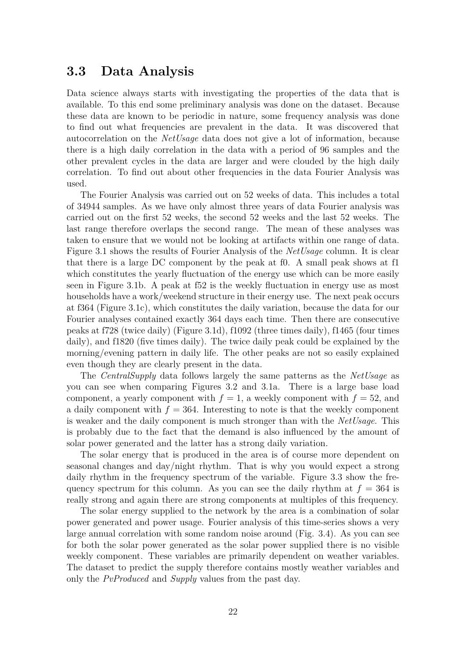#### **3.3 Data Analysis**

Data science always starts with investigating the properties of the data that is available. To this end some preliminary analysis was done on the dataset. Because these data are known to be periodic in nature, some frequency analysis was done to find out what frequencies are prevalent in the data. It was discovered that autocorrelation on the *NetUsage* data does not give a lot of information, because there is a high daily correlation in the data with a period of 96 samples and the other prevalent cycles in the data are larger and were clouded by the high daily correlation. To find out about other frequencies in the data Fourier Analysis was used.

The Fourier Analysis was carried out on 52 weeks of data. This includes a total of 34944 samples. As we have only almost three years of data Fourier analysis was carried out on the first 52 weeks, the second 52 weeks and the last 52 weeks. The last range therefore overlaps the second range. The mean of these analyses was taken to ensure that we would not be looking at artifacts within one range of data. Figure 3.1 shows the results of Fourier Analysis of the *NetUsage* column. It is clear that there is a large DC component by the peak at f0. A small peak shows at f1 which constitutes the yearly fluctuation of the energy use which can be more easily seen in Figure 3.1b. A peak at f52 is the weekly fluctuation in energy use as most households have a work/weekend structure in their energy use. The next peak occurs at f364 (Figure 3.1c), which constitutes the daily variation, because the data for our Fourier analyses contained exactly 364 days each time. Then there are consecutive peaks at f728 (twice daily) (Figure 3.1d), f1092 (three times daily), f1465 (four times daily), and f1820 (five times daily). The twice daily peak could be explained by the morning/evening pattern in daily life. The other peaks are not so easily explained even though they are clearly present in the data.

The *CentralSupply* data follows largely the same patterns as the *NetUsage* as you can see when comparing Figures 3.2 and 3.1a. There is a large base load component, a yearly component with  $f = 1$ , a weekly component with  $f = 52$ , and a daily component with  $f = 364$ . Interesting to note is that the weekly component is weaker and the daily component is much stronger than with the *NetUsage*. This is probably due to the fact that the demand is also influenced by the amount of solar power generated and the latter has a strong daily variation.

The solar energy that is produced in the area is of course more dependent on seasonal changes and day/night rhythm. That is why you would expect a strong daily rhythm in the frequency spectrum of the variable. Figure 3.3 show the frequency spectrum for this column. As you can see the daily rhythm at  $f = 364$  is really strong and again there are strong components at multiples of this frequency.

The solar energy supplied to the network by the area is a combination of solar power generated and power usage. Fourier analysis of this time-series shows a very large annual correlation with some random noise around (Fig. 3.4). As you can see for both the solar power generated as the solar power supplied there is no visible weekly component. These variables are primarily dependent on weather variables. The dataset to predict the supply therefore contains mostly weather variables and only the *PvProduced* and *Supply* values from the past day.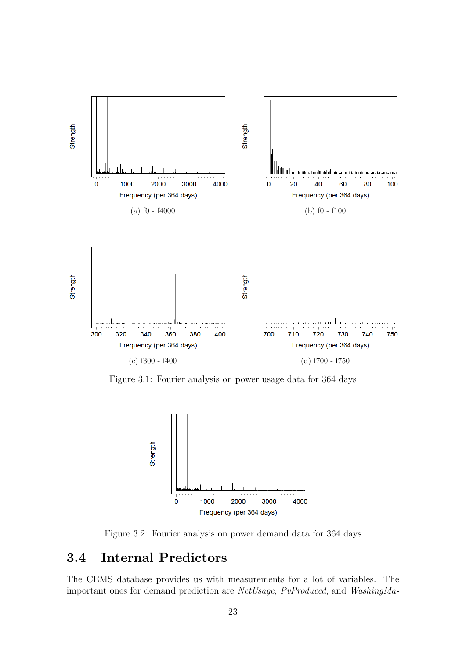

Figure 3.1: Fourier analysis on power usage data for 364 days



Figure 3.2: Fourier analysis on power demand data for 364 days

## **3.4 Internal Predictors**

The CEMS database provides us with measurements for a lot of variables. The important ones for demand prediction are *NetUsage*, *PvProduced*, and *WashingMa-*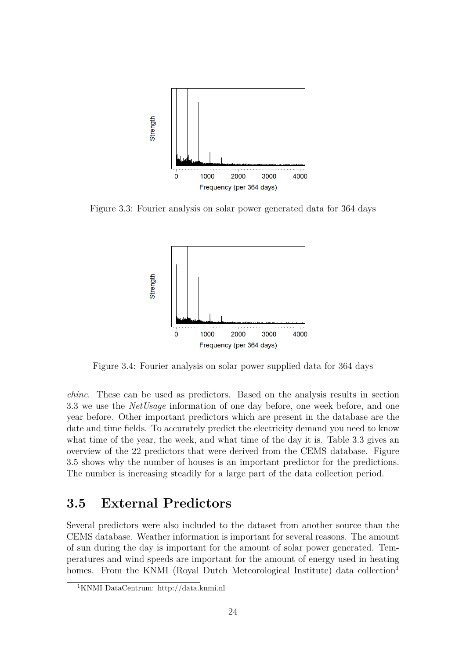

Figure 3.3: Fourier analysis on solar power generated data for 364 days



Figure 3.4: Fourier analysis on solar power supplied data for 364 days

*chine*. These can be used as predictors. Based on the analysis results in section 3.3 we use the *NetUsage* information of one day before, one week before, and one year before. Other important predictors which are present in the database are the date and time fields. To accurately predict the electricity demand you need to know what time of the year, the week, and what time of the day it is. Table 3.3 gives an overview of the 22 predictors that were derived from the CEMS database. Figure 3.5 shows why the number of houses is an important predictor for the predictions. The number is increasing steadily for a large part of the data collection period.

## **3.5 External Predictors**

Several predictors were also included to the dataset from another source than the CEMS database. Weather information is important for several reasons. The amount of sun during the day is important for the amount of solar power generated. Temperatures and wind speeds are important for the amount of energy used in heating homes. From the KNMI (Royal Dutch Meteorological Institute) data collection<sup>1</sup>

<sup>1</sup>KNMI DataCentrum: http://data.knmi.nl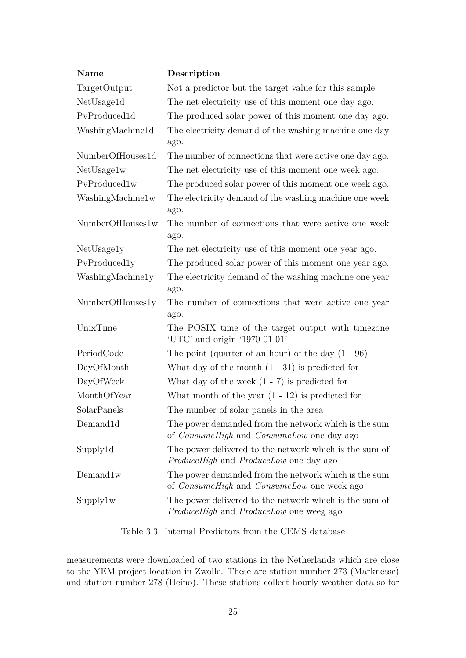| Name             | Description                                                                                                      |  |  |
|------------------|------------------------------------------------------------------------------------------------------------------|--|--|
| TargetOutput     | Not a predictor but the target value for this sample.                                                            |  |  |
| NetUsage1d       | The net electricity use of this moment one day ago.                                                              |  |  |
| PvProduced1d     | The produced solar power of this moment one day ago.                                                             |  |  |
| WashingMachine1d | The electricity demand of the washing machine one day                                                            |  |  |
|                  | ago.                                                                                                             |  |  |
| NumberOfHouses1d | The number of connections that were active one day ago.                                                          |  |  |
| NetUsage1w       | The net electricity use of this moment one week ago.                                                             |  |  |
| PvProduced1w     | The produced solar power of this moment one week ago.                                                            |  |  |
| WashingMachine1w | The electricity demand of the washing machine one week<br>ago.                                                   |  |  |
| NumberOfHouses1w | The number of connections that were active one week<br>ago.                                                      |  |  |
| NetUsage1y       | The net electricity use of this moment one year ago.                                                             |  |  |
| PvProduced1y     | The produced solar power of this moment one year ago.                                                            |  |  |
| WashingMachine1y | The electricity demand of the washing machine one year<br>ago.                                                   |  |  |
| NumberOfHouses1y | The number of connections that were active one year<br>ago.                                                      |  |  |
| UnixTime         | The POSIX time of the target output with timezone<br>'UTC' and origin $'1970-01-01'$                             |  |  |
| PeriodCode       | The point (quarter of an hour) of the day $(1 - 96)$                                                             |  |  |
| DayOfMonth       | What day of the month $(1 - 31)$ is predicted for                                                                |  |  |
| DayOfWeek        | What day of the week $(1 - 7)$ is predicted for                                                                  |  |  |
| MonthOfYear      | What month of the year $(1 - 12)$ is predicted for                                                               |  |  |
| SolarPanels      | The number of solar panels in the area                                                                           |  |  |
| Demand1d         | The power demanded from the network which is the sum<br>of <i>ConsumeHigh</i> and <i>ConsumeLow</i> one day ago  |  |  |
| Supply1d         | The power delivered to the network which is the sum of<br><i>ProduceHigh</i> and <i>ProduceLow</i> one day ago   |  |  |
| Demand 1w        | The power demanded from the network which is the sum<br>of <i>ConsumeHigh</i> and <i>ConsumeLow</i> one week ago |  |  |
| Supply1w         | The power delivered to the network which is the sum of<br><i>ProduceHigh</i> and <i>ProduceLow</i> one weeg ago  |  |  |

Table 3.3: Internal Predictors from the CEMS database

measurements were downloaded of two stations in the Netherlands which are close to the YEM project location in Zwolle. These are station number 273 (Marknesse) and station number 278 (Heino). These stations collect hourly weather data so for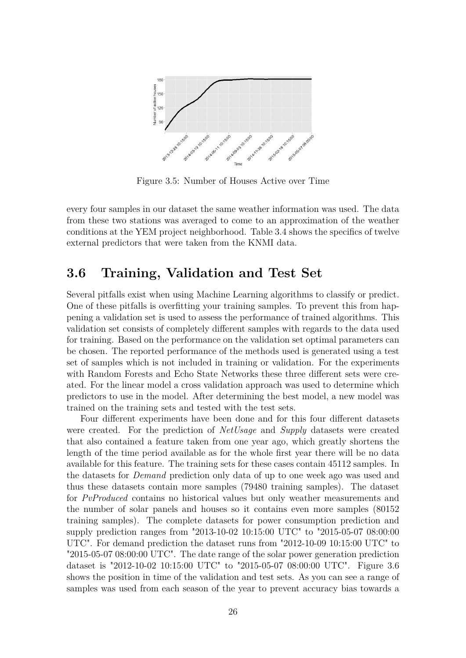

Figure 3.5: Number of Houses Active over Time

every four samples in our dataset the same weather information was used. The data from these two stations was averaged to come to an approximation of the weather conditions at the YEM project neighborhood. Table 3.4 shows the specifics of twelve external predictors that were taken from the KNMI data.

## **3.6 Training, Validation and Test Set**

Several pitfalls exist when using Machine Learning algorithms to classify or predict. One of these pitfalls is overfitting your training samples. To prevent this from happening a validation set is used to assess the performance of trained algorithms. This validation set consists of completely different samples with regards to the data used for training. Based on the performance on the validation set optimal parameters can be chosen. The reported performance of the methods used is generated using a test set of samples which is not included in training or validation. For the experiments with Random Forests and Echo State Networks these three different sets were created. For the linear model a cross validation approach was used to determine which predictors to use in the model. After determining the best model, a new model was trained on the training sets and tested with the test sets.

Four different experiments have been done and for this four different datasets were created. For the prediction of *NetUsage* and *Supply* datasets were created that also contained a feature taken from one year ago, which greatly shortens the length of the time period available as for the whole first year there will be no data available for this feature. The training sets for these cases contain 45112 samples. In the datasets for *Demand* prediction only data of up to one week ago was used and thus these datasets contain more samples (79480 training samples). The dataset for *PvProduced* contains no historical values but only weather measurements and the number of solar panels and houses so it contains even more samples (80152 training samples). The complete datasets for power consumption prediction and supply prediction ranges from "2013-10-02 10:15:00 UTC" to "2015-05-07 08:00:00 UTC". For demand prediction the dataset runs from "2012-10-09 10:15:00 UTC" to "2015-05-07 08:00:00 UTC". The date range of the solar power generation prediction dataset is "2012-10-02 10:15:00 UTC" to "2015-05-07 08:00:00 UTC". Figure 3.6 shows the position in time of the validation and test sets. As you can see a range of samples was used from each season of the year to prevent accuracy bias towards a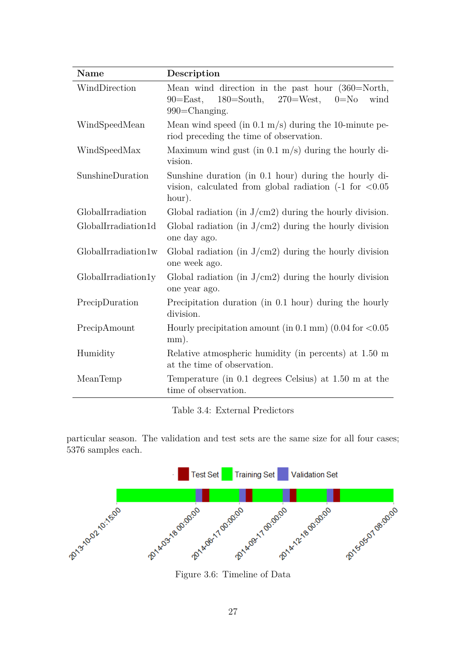| <b>Name</b>         | Description                                                                                                                                              |  |  |
|---------------------|----------------------------------------------------------------------------------------------------------------------------------------------------------|--|--|
| WindDirection       | Mean wind direction in the past hour $(360=North,$<br>$180 = South$ ,<br>$270 = West$ ,<br>$90 = East$ ,<br>$0 = No$<br>wind<br>$990 = \text{Changing.}$ |  |  |
| WindSpeedMean       | Mean wind speed (in $0.1 \text{ m/s}$ ) during the 10-minute pe-<br>riod preceding the time of observation.                                              |  |  |
| WindSpeedMax        | Maximum wind gust (in $0.1 \text{ m/s}$ ) during the hourly di-<br>vision.                                                                               |  |  |
| SunshineDuration    | Sunshine duration (in 0.1 hour) during the hourly di-<br>vision, calculated from global radiation $(-1)$ for $\langle 0.05$<br>hour).                    |  |  |
| GlobalIrradiation   | Global radiation (in $J/cm2$ ) during the hourly division.                                                                                               |  |  |
| GlobalIrradiation1d | Global radiation (in $J/cm2$ ) during the hourly division<br>one day ago.                                                                                |  |  |
| GlobalIrradiation1w | Global radiation (in $J/cm2$ ) during the hourly division<br>one week ago.                                                                               |  |  |
| GlobalIrradiation1y | Global radiation (in $J/cm2$ ) during the hourly division<br>one year ago.                                                                               |  |  |
| PrecipDuration      | Precipitation duration (in 0.1 hour) during the hourly<br>division.                                                                                      |  |  |
| PrecipAmount        | Hourly precipitation amount (in $0.1 \text{ mm}$ ) (0.04 for <0.05<br>mm).                                                                               |  |  |
| Humidity            | Relative atmospheric humidity (in percents) at 1.50 m<br>at the time of observation.                                                                     |  |  |
| MeanTemp            | Temperature (in 0.1 degrees Celsius) at 1.50 m at the<br>time of observation.                                                                            |  |  |

Table 3.4: External Predictors

particular season. The validation and test sets are the same size for all four cases; 5376 samples each.



Figure 3.6: Timeline of Data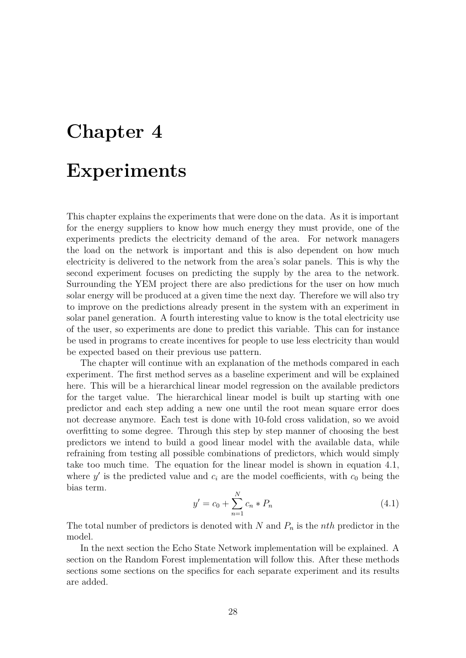# **Chapter 4**

# **Experiments**

This chapter explains the experiments that were done on the data. As it is important for the energy suppliers to know how much energy they must provide, one of the experiments predicts the electricity demand of the area. For network managers the load on the network is important and this is also dependent on how much electricity is delivered to the network from the area's solar panels. This is why the second experiment focuses on predicting the supply by the area to the network. Surrounding the YEM project there are also predictions for the user on how much solar energy will be produced at a given time the next day. Therefore we will also try to improve on the predictions already present in the system with an experiment in solar panel generation. A fourth interesting value to know is the total electricity use of the user, so experiments are done to predict this variable. This can for instance be used in programs to create incentives for people to use less electricity than would be expected based on their previous use pattern.

The chapter will continue with an explanation of the methods compared in each experiment. The first method serves as a baseline experiment and will be explained here. This will be a hierarchical linear model regression on the available predictors for the target value. The hierarchical linear model is built up starting with one predictor and each step adding a new one until the root mean square error does not decrease anymore. Each test is done with 10-fold cross validation, so we avoid overfitting to some degree. Through this step by step manner of choosing the best predictors we intend to build a good linear model with the available data, while refraining from testing all possible combinations of predictors, which would simply take too much time. The equation for the linear model is shown in equation 4.1, where  $y'$  is the predicted value and  $c_i$  are the model coefficients, with  $c_0$  being the bias term.

$$
y' = c_0 + \sum_{n=1}^{N} c_n * P_n
$$
\n(4.1)

The total number of predictors is denoted with *N* and *P<sup>n</sup>* is the *nth* predictor in the model.

In the next section the Echo State Network implementation will be explained. A section on the Random Forest implementation will follow this. After these methods sections some sections on the specifics for each separate experiment and its results are added.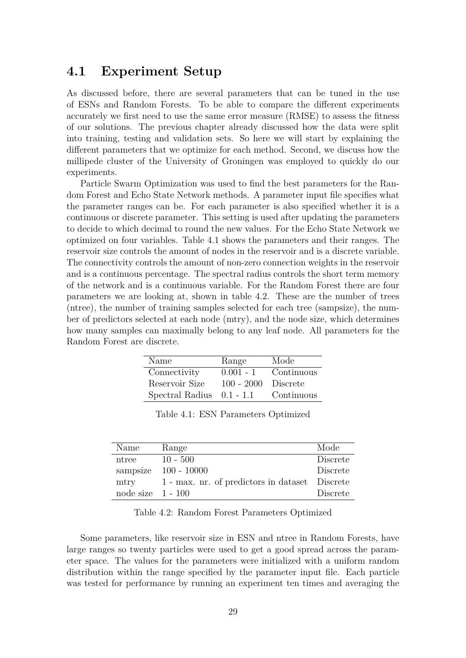#### **4.1 Experiment Setup**

As discussed before, there are several parameters that can be tuned in the use of ESNs and Random Forests. To be able to compare the different experiments accurately we first need to use the same error measure (RMSE) to assess the fitness of our solutions. The previous chapter already discussed how the data were split into training, testing and validation sets. So here we will start by explaining the different parameters that we optimize for each method. Second, we discuss how the millipede cluster of the University of Groningen was employed to quickly do our experiments.

Particle Swarm Optimization was used to find the best parameters for the Random Forest and Echo State Network methods. A parameter input file specifies what the parameter ranges can be. For each parameter is also specified whether it is a continuous or discrete parameter. This setting is used after updating the parameters to decide to which decimal to round the new values. For the Echo State Network we optimized on four variables. Table 4.1 shows the parameters and their ranges. The reservoir size controls the amount of nodes in the reservoir and is a discrete variable. The connectivity controls the amount of non-zero connection weights in the reservoir and is a continuous percentage. The spectral radius controls the short term memory of the network and is a continuous variable. For the Random Forest there are four parameters we are looking at, shown in table 4.2. These are the number of trees (ntree), the number of training samples selected for each tree (sampsize), the number of predictors selected at each node (mtry), and the node size, which determines how many samples can maximally belong to any leaf node. All parameters for the Random Forest are discrete.

| Name                        | Range        | Mode       |
|-----------------------------|--------------|------------|
| Connectivity                | $0.001 - 1$  | Continuous |
| Reservoir Size              | $100 - 2000$ | Discrete   |
| Spectral Radius $0.1 - 1.1$ |              | Continuous |

|  |  | Table 4.1: ESN Parameters Optimized |  |
|--|--|-------------------------------------|--|
|--|--|-------------------------------------|--|

| Name                | Range                                          | Mode     |
|---------------------|------------------------------------------------|----------|
| ntree               | $10 - 500$                                     | Discrete |
|                     | sampsize $100 - 10000$                         | Discrete |
| mtry                | 1 - max. nr. of predictors in dataset Discrete |          |
| node size $1 - 100$ |                                                | Discrete |

Table 4.2: Random Forest Parameters Optimized

Some parameters, like reservoir size in ESN and ntree in Random Forests, have large ranges so twenty particles were used to get a good spread across the parameter space. The values for the parameters were initialized with a uniform random distribution within the range specified by the parameter input file. Each particle was tested for performance by running an experiment ten times and averaging the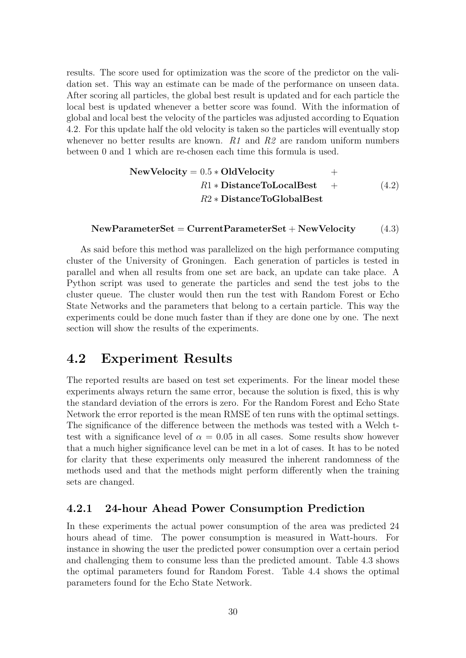results. The score used for optimization was the score of the predictor on the validation set. This way an estimate can be made of the performance on unseen data. After scoring all particles, the global best result is updated and for each particle the local best is updated whenever a better score was found. With the information of global and local best the velocity of the particles was adjusted according to Equation 4.2. For this update half the old velocity is taken so the particles will eventually stop whenever no better results are known. *R1* and *R2* are random uniform numbers between 0 and 1 which are re-chosen each time this formula is used.

NewVelocity = 
$$
0.5 * OldVelocity
$$
 +  
\n $R1 * DistanceToLocalBest$  +  
\n $R2 * DistanceToGlobalBest$  (4.2)

#### **NewParameterSet** = **CurrentParameterSet** + **NewVelocity** (4.3)

As said before this method was parallelized on the high performance computing cluster of the University of Groningen. Each generation of particles is tested in parallel and when all results from one set are back, an update can take place. A Python script was used to generate the particles and send the test jobs to the cluster queue. The cluster would then run the test with Random Forest or Echo State Networks and the parameters that belong to a certain particle. This way the experiments could be done much faster than if they are done one by one. The next section will show the results of the experiments.

### **4.2 Experiment Results**

The reported results are based on test set experiments. For the linear model these experiments always return the same error, because the solution is fixed, this is why the standard deviation of the errors is zero. For the Random Forest and Echo State Network the error reported is the mean RMSE of ten runs with the optimal settings. The significance of the difference between the methods was tested with a Welch ttest with a significance level of  $\alpha = 0.05$  in all cases. Some results show however that a much higher significance level can be met in a lot of cases. It has to be noted for clarity that these experiments only measured the inherent randomness of the methods used and that the methods might perform differently when the training sets are changed.

#### **4.2.1 24-hour Ahead Power Consumption Prediction**

In these experiments the actual power consumption of the area was predicted 24 hours ahead of time. The power consumption is measured in Watt-hours. For instance in showing the user the predicted power consumption over a certain period and challenging them to consume less than the predicted amount. Table 4.3 shows the optimal parameters found for Random Forest. Table 4.4 shows the optimal parameters found for the Echo State Network.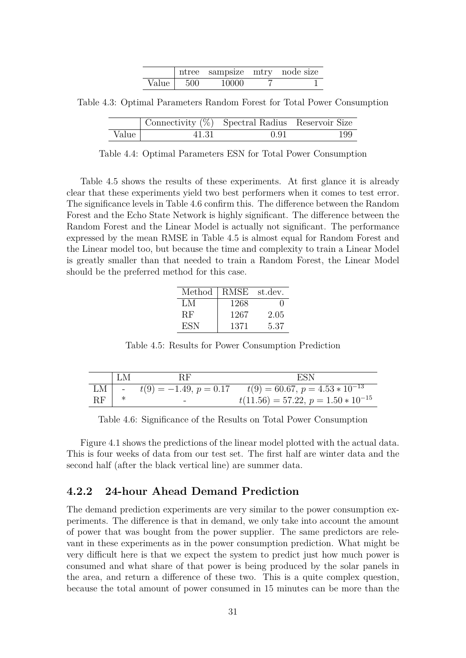|       |      | ntree sampsize mtry node size |  |
|-------|------|-------------------------------|--|
| Value | -500 | 10000                         |  |

Table 4.3: Optimal Parameters Random Forest for Total Power Consumption

|       | Connectivity $(\%)$ Spectral Radius Reservoir Size |      |     |
|-------|----------------------------------------------------|------|-----|
| Value | 41.31                                              | 0.91 | 199 |

Table 4.4: Optimal Parameters ESN for Total Power Consumption

Table 4.5 shows the results of these experiments. At first glance it is already clear that these experiments yield two best performers when it comes to test error. The significance levels in Table 4.6 confirm this. The difference between the Random Forest and the Echo State Network is highly significant. The difference between the Random Forest and the Linear Model is actually not significant. The performance expressed by the mean RMSE in Table 4.5 is almost equal for Random Forest and the Linear model too, but because the time and complexity to train a Linear Model is greatly smaller than that needed to train a Random Forest, the Linear Model should be the preferred method for this case.

| Method | RMSE | st.dev. |
|--------|------|---------|
| LM     | 1268 |         |
| RF     | 1267 | 2.05    |
| ESN    | 1371 | 5.37    |

Table 4.5: Results for Power Consumption Prediction

|          | LM | ВF                       | ESN                                     |
|----------|----|--------------------------|-----------------------------------------|
| $LM$ $-$ |    | $t(9) = -1.49, p = 0.17$ | $t(9) = 60.67, p = 4.53 * 10^{-13}$     |
| RF       |    | $\qquad \qquad$          | $t(11.56) = 57.22, p = 1.50 * 10^{-15}$ |

Table 4.6: Significance of the Results on Total Power Consumption

Figure 4.1 shows the predictions of the linear model plotted with the actual data. This is four weeks of data from our test set. The first half are winter data and the second half (after the black vertical line) are summer data.

#### **4.2.2 24-hour Ahead Demand Prediction**

The demand prediction experiments are very similar to the power consumption experiments. The difference is that in demand, we only take into account the amount of power that was bought from the power supplier. The same predictors are relevant in these experiments as in the power consumption prediction. What might be very difficult here is that we expect the system to predict just how much power is consumed and what share of that power is being produced by the solar panels in the area, and return a difference of these two. This is a quite complex question, because the total amount of power consumed in 15 minutes can be more than the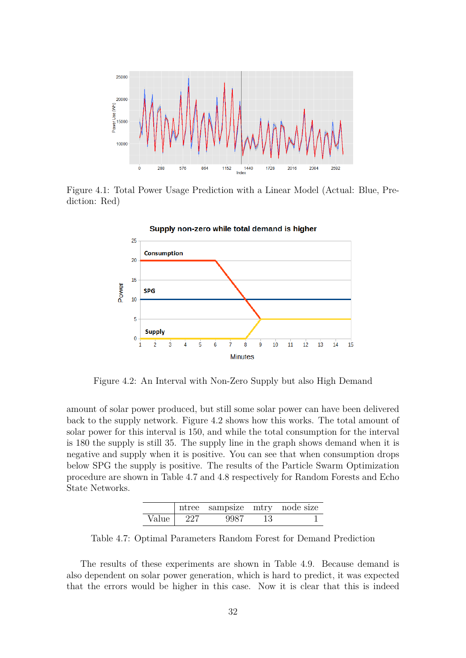

Figure 4.1: Total Power Usage Prediction with a Linear Model (Actual: Blue, Prediction: Red)



Figure 4.2: An Interval with Non-Zero Supply but also High Demand

amount of solar power produced, but still some solar power can have been delivered back to the supply network. Figure 4.2 shows how this works. The total amount of solar power for this interval is 150, and while the total consumption for the interval is 180 the supply is still 35. The supply line in the graph shows demand when it is negative and supply when it is positive. You can see that when consumption drops below SPG the supply is positive. The results of the Particle Swarm Optimization procedure are shown in Table 4.7 and 4.8 respectively for Random Forests and Echo State Networks.

|       |     | ntree sampsize mtry node size |    |  |
|-------|-----|-------------------------------|----|--|
| Value | 227 |                               | 13 |  |

Table 4.7: Optimal Parameters Random Forest for Demand Prediction

The results of these experiments are shown in Table 4.9. Because demand is also dependent on solar power generation, which is hard to predict, it was expected that the errors would be higher in this case. Now it is clear that this is indeed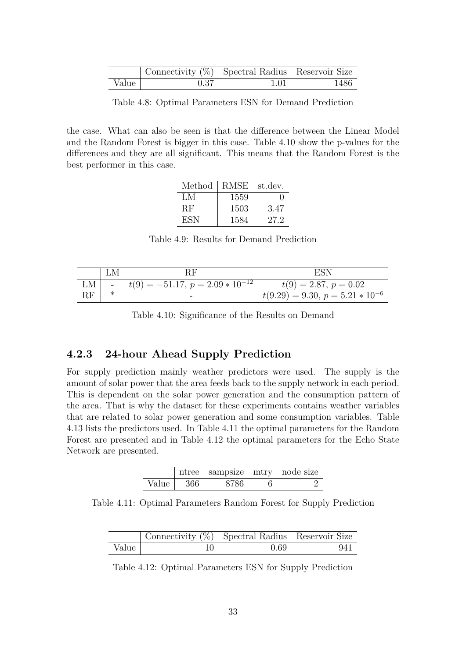|       | Connectivity (%) Spectral Radius Reservoir Size |      |        |
|-------|-------------------------------------------------|------|--------|
| Value | 0.37                                            | 1.01 | - 1486 |

Table 4.8: Optimal Parameters ESN for Demand Prediction

the case. What can also be seen is that the difference between the Linear Model and the Random Forest is bigger in this case. Table 4.10 show the p-values for the differences and they are all significant. This means that the Random Forest is the best performer in this case.

| Method | RMSE | st.dev. |
|--------|------|---------|
| LM     | 1559 | ' '     |
| RF.    | 1503 | 3.47    |
| ESN    | 1584 | 27.2    |

Table 4.9: Results for Demand Prediction

|      | LM | <b>RF</b>                              | ESN                                  |
|------|----|----------------------------------------|--------------------------------------|
| $LM$ |    | - $t(9) = -51.17, p = 2.09 * 10^{-12}$ | $t(9) = 2.87, p = 0.02$              |
| RF   |    | $\overline{\phantom{a}}$               | $t(9.29) = 9.30, p = 5.21 * 10^{-6}$ |

Table 4.10: Significance of the Results on Demand

#### **4.2.3 24-hour Ahead Supply Prediction**

For supply prediction mainly weather predictors were used. The supply is the amount of solar power that the area feeds back to the supply network in each period. This is dependent on the solar power generation and the consumption pattern of the area. That is why the dataset for these experiments contains weather variables that are related to solar power generation and some consumption variables. Table 4.13 lists the predictors used. In Table 4.11 the optimal parameters for the Random Forest are presented and in Table 4.12 the optimal parameters for the Echo State Network are presented.

|       |       | ntree sampsize mtry node size |  |
|-------|-------|-------------------------------|--|
| Value | - 366 | 8786                          |  |

Table 4.11: Optimal Parameters Random Forest for Supply Prediction

|       | Connectivity $(\%)$ Spectral Radius Reservoir Size |      |     |
|-------|----------------------------------------------------|------|-----|
| Value |                                                    | 0.69 | 941 |

Table 4.12: Optimal Parameters ESN for Supply Prediction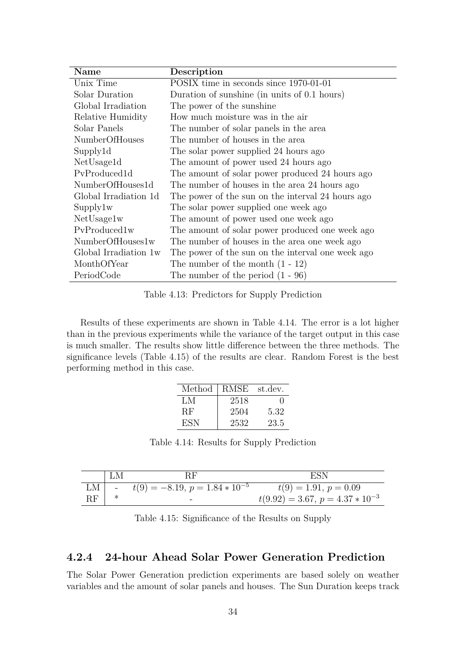| Name                  | Description                                       |
|-----------------------|---------------------------------------------------|
| Unix Time             | POSIX time in seconds since 1970-01-01            |
| Solar Duration        | Duration of sunshine (in units of 0.1 hours)      |
| Global Irradiation    | The power of the sunshine                         |
| Relative Humidity     | How much moisture was in the air                  |
| Solar Panels          | The number of solar panels in the area            |
| <b>NumberOfHouses</b> | The number of houses in the area                  |
| Supply1d              | The solar power supplied 24 hours ago             |
| NetUsage1d            | The amount of power used 24 hours ago             |
| PyProduced1d          | The amount of solar power produced 24 hours ago   |
| NumberOfHouses1d      | The number of houses in the area 24 hours ago     |
| Global Irradiation 1d | The power of the sun on the interval 24 hours ago |
| Supply1w              | The solar power supplied one week ago             |
| NetUsage1w            | The amount of power used one week ago             |
| PvProduced1w          | The amount of solar power produced one week ago   |
| NumberOfHouses1w      | The number of houses in the area one week ago     |
| Global Irradiation 1w | The power of the sun on the interval one week ago |
| MonthOfYear           | The number of the month $(1 - 12)$                |
| PeriodCode            | The number of the period $(1 - 96)$               |

Table 4.13: Predictors for Supply Prediction

Results of these experiments are shown in Table 4.14. The error is a lot higher than in the previous experiments while the variance of the target output in this case is much smaller. The results show little difference between the three methods. The significance levels (Table 4.15) of the results are clear. Random Forest is the best performing method in this case.

| Method   RMSE |      | st.dev.      |
|---------------|------|--------------|
| LM            | 2518 | $\mathbf{I}$ |
| RF.           | 2504 | 5.32         |
| ESN           | 2532 | 23.5         |

Table 4.14: Results for Supply Prediction

|                     | LM |                                                 | ESN                                  |
|---------------------|----|-------------------------------------------------|--------------------------------------|
|                     |    | LM $\vert$ - $t(9) = -8.19, p = 1.84 * 10^{-5}$ | $t(9) = 1.91, p = 0.09$              |
| $\operatorname{RF}$ |    | -                                               | $t(9.92) = 3.67, p = 4.37 * 10^{-3}$ |

Table 4.15: Significance of the Results on Supply

#### **4.2.4 24-hour Ahead Solar Power Generation Prediction**

The Solar Power Generation prediction experiments are based solely on weather variables and the amount of solar panels and houses. The Sun Duration keeps track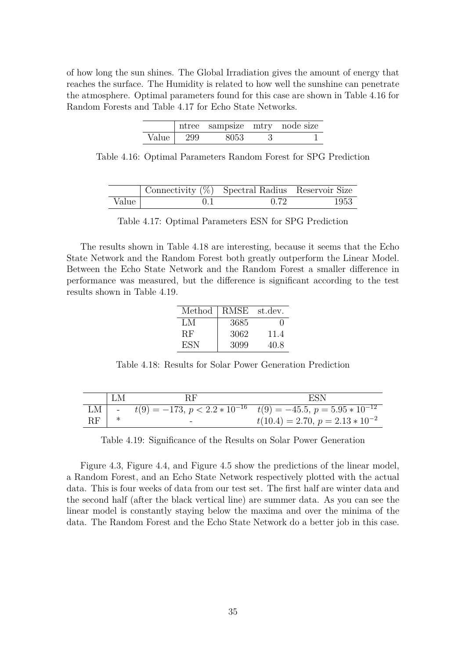of how long the sun shines. The Global Irradiation gives the amount of energy that reaches the surface. The Humidity is related to how well the sunshine can penetrate the atmosphere. Optimal parameters found for this case are shown in Table 4.16 for Random Forests and Table 4.17 for Echo State Networks.

|       |      | ntree sampsize mtry node size |  |
|-------|------|-------------------------------|--|
| Value | -299 | 8053                          |  |

Table 4.16: Optimal Parameters Random Forest for SPG Prediction

|       | Connectivity $(\%)$ Spectral Radius Reservoir Size |      |      |
|-------|----------------------------------------------------|------|------|
| Value |                                                    | 0.72 | 1953 |

|  |  | Table 4.17: Optimal Parameters ESN for SPG Prediction |  |  |  |  |  |
|--|--|-------------------------------------------------------|--|--|--|--|--|
|--|--|-------------------------------------------------------|--|--|--|--|--|

The results shown in Table 4.18 are interesting, because it seems that the Echo State Network and the Random Forest both greatly outperform the Linear Model. Between the Echo State Network and the Random Forest a smaller difference in performance was measured, but the difference is significant according to the test results shown in Table 4.19.

| Method    | RMSE | st.dev. |
|-----------|------|---------|
| LM        | 3685 | 0       |
| <b>RF</b> | 3062 | 11.4    |
| ESN       | 3099 | 40.8    |

Table 4.18: Results for Solar Power Generation Prediction

|    | LM | <b>RF</b> | ESN                                                                                |  |  |  |
|----|----|-----------|------------------------------------------------------------------------------------|--|--|--|
|    |    |           | LM $\vert$ - $t(9) = -173, p < 2.2 * 10^{-16}$ $t(9) = -45.5, p = 5.95 * 10^{-12}$ |  |  |  |
| RF |    |           | $t(10.4) = 2.70, p = 2.13 * 10^{-2}$                                               |  |  |  |

Table 4.19: Significance of the Results on Solar Power Generation

Figure 4.3, Figure 4.4, and Figure 4.5 show the predictions of the linear model, a Random Forest, and an Echo State Network respectively plotted with the actual data. This is four weeks of data from our test set. The first half are winter data and the second half (after the black vertical line) are summer data. As you can see the linear model is constantly staying below the maxima and over the minima of the data. The Random Forest and the Echo State Network do a better job in this case.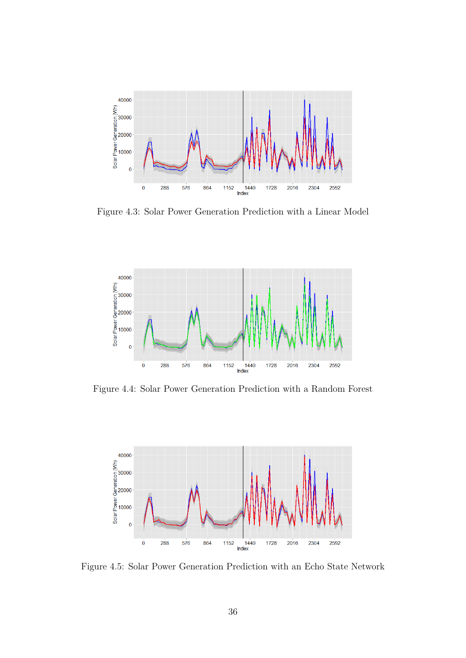

Figure 4.3: Solar Power Generation Prediction with a Linear Model



Figure 4.4: Solar Power Generation Prediction with a Random Forest



Figure 4.5: Solar Power Generation Prediction with an Echo State Network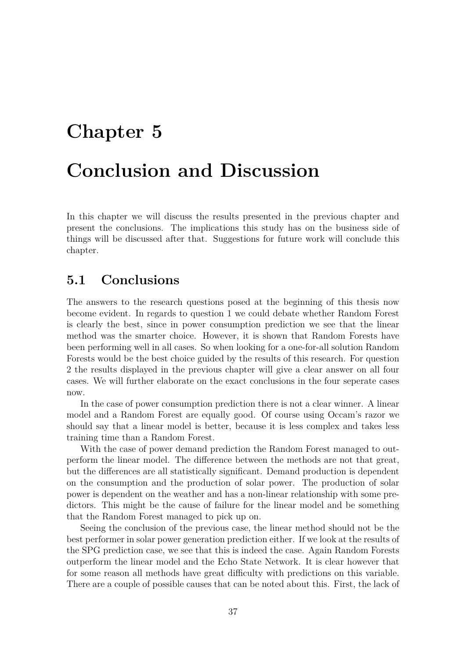# **Chapter 5**

# **Conclusion and Discussion**

In this chapter we will discuss the results presented in the previous chapter and present the conclusions. The implications this study has on the business side of things will be discussed after that. Suggestions for future work will conclude this chapter.

## **5.1 Conclusions**

The answers to the research questions posed at the beginning of this thesis now become evident. In regards to question 1 we could debate whether Random Forest is clearly the best, since in power consumption prediction we see that the linear method was the smarter choice. However, it is shown that Random Forests have been performing well in all cases. So when looking for a one-for-all solution Random Forests would be the best choice guided by the results of this research. For question 2 the results displayed in the previous chapter will give a clear answer on all four cases. We will further elaborate on the exact conclusions in the four seperate cases now.

In the case of power consumption prediction there is not a clear winner. A linear model and a Random Forest are equally good. Of course using Occam's razor we should say that a linear model is better, because it is less complex and takes less training time than a Random Forest.

With the case of power demand prediction the Random Forest managed to outperform the linear model. The difference between the methods are not that great, but the differences are all statistically significant. Demand production is dependent on the consumption and the production of solar power. The production of solar power is dependent on the weather and has a non-linear relationship with some predictors. This might be the cause of failure for the linear model and be something that the Random Forest managed to pick up on.

Seeing the conclusion of the previous case, the linear method should not be the best performer in solar power generation prediction either. If we look at the results of the SPG prediction case, we see that this is indeed the case. Again Random Forests outperform the linear model and the Echo State Network. It is clear however that for some reason all methods have great difficulty with predictions on this variable. There are a couple of possible causes that can be noted about this. First, the lack of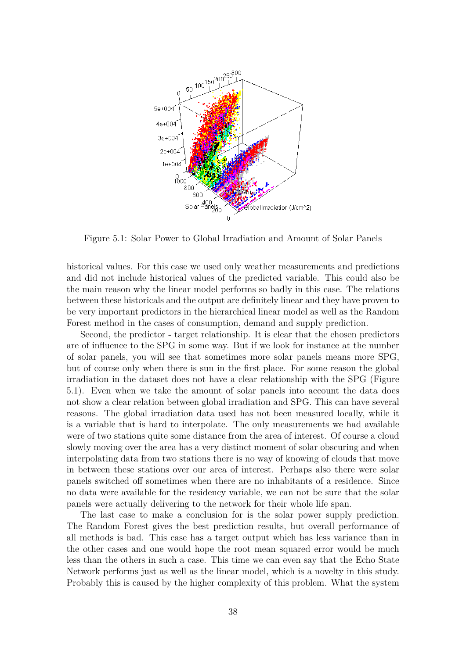

Figure 5.1: Solar Power to Global Irradiation and Amount of Solar Panels

historical values. For this case we used only weather measurements and predictions and did not include historical values of the predicted variable. This could also be the main reason why the linear model performs so badly in this case. The relations between these historicals and the output are definitely linear and they have proven to be very important predictors in the hierarchical linear model as well as the Random Forest method in the cases of consumption, demand and supply prediction.

Second, the predictor - target relationship. It is clear that the chosen predictors are of influence to the SPG in some way. But if we look for instance at the number of solar panels, you will see that sometimes more solar panels means more SPG, but of course only when there is sun in the first place. For some reason the global irradiation in the dataset does not have a clear relationship with the SPG (Figure 5.1). Even when we take the amount of solar panels into account the data does not show a clear relation between global irradiation and SPG. This can have several reasons. The global irradiation data used has not been measured locally, while it is a variable that is hard to interpolate. The only measurements we had available were of two stations quite some distance from the area of interest. Of course a cloud slowly moving over the area has a very distinct moment of solar obscuring and when interpolating data from two stations there is no way of knowing of clouds that move in between these stations over our area of interest. Perhaps also there were solar panels switched off sometimes when there are no inhabitants of a residence. Since no data were available for the residency variable, we can not be sure that the solar panels were actually delivering to the network for their whole life span.

The last case to make a conclusion for is the solar power supply prediction. The Random Forest gives the best prediction results, but overall performance of all methods is bad. This case has a target output which has less variance than in the other cases and one would hope the root mean squared error would be much less than the others in such a case. This time we can even say that the Echo State Network performs just as well as the linear model, which is a novelty in this study. Probably this is caused by the higher complexity of this problem. What the system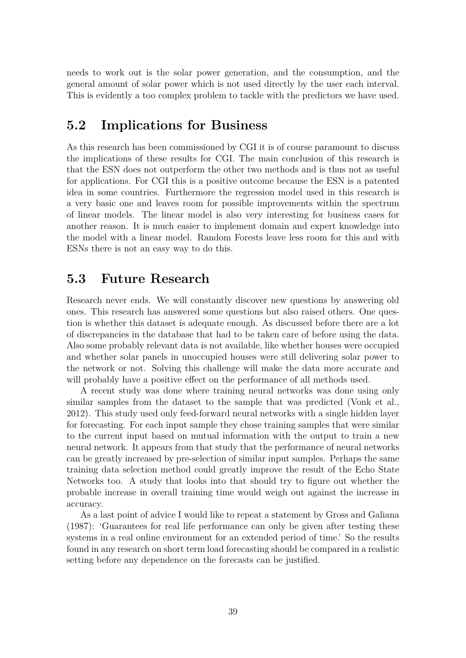needs to work out is the solar power generation, and the consumption, and the general amount of solar power which is not used directly by the user each interval. This is evidently a too complex problem to tackle with the predictors we have used.

### **5.2 Implications for Business**

As this research has been commissioned by CGI it is of course paramount to discuss the implications of these results for CGI. The main conclusion of this research is that the ESN does not outperform the other two methods and is thus not as useful for applications. For CGI this is a positive outcome because the ESN is a patented idea in some countries. Furthermore the regression model used in this research is a very basic one and leaves room for possible improvements within the spectrum of linear models. The linear model is also very interesting for business cases for another reason. It is much easier to implement domain and expert knowledge into the model with a linear model. Random Forests leave less room for this and with ESNs there is not an easy way to do this.

#### **5.3 Future Research**

Research never ends. We will constantly discover new questions by answering old ones. This research has answered some questions but also raised others. One question is whether this dataset is adequate enough. As discussed before there are a lot of discrepancies in the database that had to be taken care of before using the data. Also some probably relevant data is not available, like whether houses were occupied and whether solar panels in unoccupied houses were still delivering solar power to the network or not. Solving this challenge will make the data more accurate and will probably have a positive effect on the performance of all methods used.

A recent study was done where training neural networks was done using only similar samples from the dataset to the sample that was predicted (Vonk et al., 2012). This study used only feed-forward neural networks with a single hidden layer for forecasting. For each input sample they chose training samples that were similar to the current input based on mutual information with the output to train a new neural network. It appears from that study that the performance of neural networks can be greatly increased by pre-selection of similar input samples. Perhaps the same training data selection method could greatly improve the result of the Echo State Networks too. A study that looks into that should try to figure out whether the probable increase in overall training time would weigh out against the increase in accuracy.

As a last point of advice I would like to repeat a statement by Gross and Galiana (1987): 'Guarantees for real life performance can only be given after testing these systems in a real online environment for an extended period of time.' So the results found in any research on short term load forecasting should be compared in a realistic setting before any dependence on the forecasts can be justified.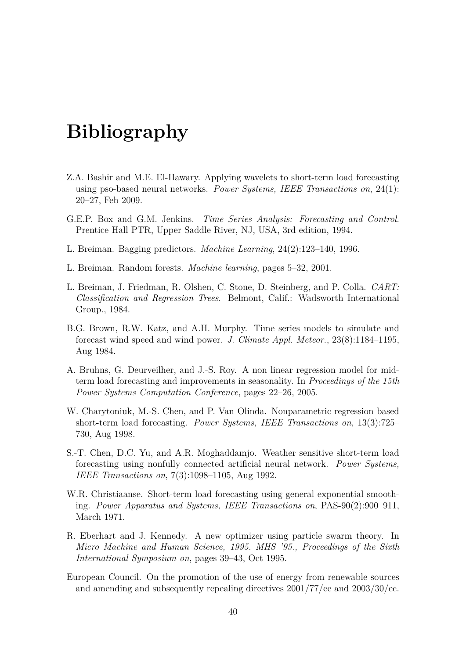# **Bibliography**

- Z.A. Bashir and M.E. El-Hawary. Applying wavelets to short-term load forecasting using pso-based neural networks. *Power Systems, IEEE Transactions on*, 24(1): 20–27, Feb 2009.
- G.E.P. Box and G.M. Jenkins. *Time Series Analysis: Forecasting and Control*. Prentice Hall PTR, Upper Saddle River, NJ, USA, 3rd edition, 1994.
- L. Breiman. Bagging predictors. *Machine Learning*, 24(2):123–140, 1996.
- L. Breiman. Random forests. *Machine learning*, pages 5–32, 2001.
- L. Breiman, J. Friedman, R. Olshen, C. Stone, D. Steinberg, and P. Colla. *CART: Classification and Regression Trees*. Belmont, Calif.: Wadsworth International Group., 1984.
- B.G. Brown, R.W. Katz, and A.H. Murphy. Time series models to simulate and forecast wind speed and wind power. *J. Climate Appl. Meteor.*, 23(8):1184–1195, Aug 1984.
- A. Bruhns, G. Deurveilher, and J.-S. Roy. A non linear regression model for midterm load forecasting and improvements in seasonality. In *Proceedings of the 15th Power Systems Computation Conference*, pages 22–26, 2005.
- W. Charytoniuk, M.-S. Chen, and P. Van Olinda. Nonparametric regression based short-term load forecasting. *Power Systems, IEEE Transactions on*, 13(3):725– 730, Aug 1998.
- S.-T. Chen, D.C. Yu, and A.R. Moghaddamjo. Weather sensitive short-term load forecasting using nonfully connected artificial neural network. *Power Systems, IEEE Transactions on*, 7(3):1098–1105, Aug 1992.
- W.R. Christiaanse. Short-term load forecasting using general exponential smoothing. *Power Apparatus and Systems, IEEE Transactions on*, PAS-90(2):900–911, March 1971.
- R. Eberhart and J. Kennedy. A new optimizer using particle swarm theory. In *Micro Machine and Human Science, 1995. MHS '95., Proceedings of the Sixth International Symposium on*, pages 39–43, Oct 1995.
- European Council. On the promotion of the use of energy from renewable sources and amending and subsequently repealing directives 2001/77/ec and 2003/30/ec.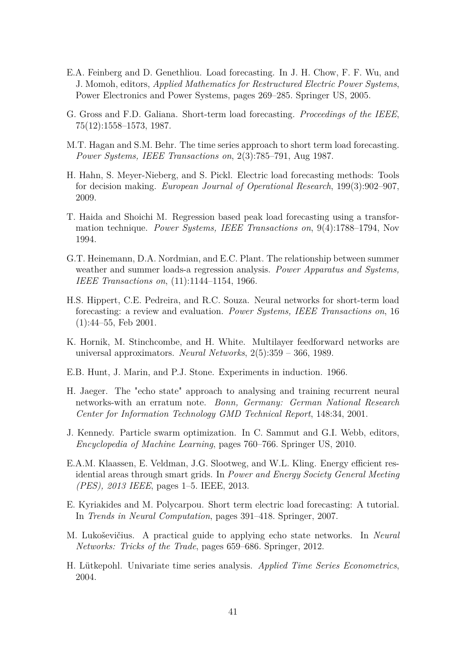- E.A. Feinberg and D. Genethliou. Load forecasting. In J. H. Chow, F. F. Wu, and J. Momoh, editors, *Applied Mathematics for Restructured Electric Power Systems*, Power Electronics and Power Systems, pages 269–285. Springer US, 2005.
- G. Gross and F.D. Galiana. Short-term load forecasting. *Proceedings of the IEEE*, 75(12):1558–1573, 1987.
- M.T. Hagan and S.M. Behr. The time series approach to short term load forecasting. *Power Systems, IEEE Transactions on*, 2(3):785–791, Aug 1987.
- H. Hahn, S. Meyer-Nieberg, and S. Pickl. Electric load forecasting methods: Tools for decision making. *European Journal of Operational Research*, 199(3):902–907, 2009.
- T. Haida and Shoichi M. Regression based peak load forecasting using a transformation technique. *Power Systems, IEEE Transactions on*, 9(4):1788–1794, Nov 1994.
- G.T. Heinemann, D.A. Nordmian, and E.C. Plant. The relationship between summer weather and summer loads-a regression analysis. *Power Apparatus and Systems, IEEE Transactions on*, (11):1144–1154, 1966.
- H.S. Hippert, C.E. Pedreira, and R.C. Souza. Neural networks for short-term load forecasting: a review and evaluation. *Power Systems, IEEE Transactions on*, 16 (1):44–55, Feb 2001.
- K. Hornik, M. Stinchcombe, and H. White. Multilayer feedforward networks are universal approximators. *Neural Networks*, 2(5):359 – 366, 1989.
- E.B. Hunt, J. Marin, and P.J. Stone. Experiments in induction. 1966.
- H. Jaeger. The "echo state" approach to analysing and training recurrent neural networks-with an erratum note. *Bonn, Germany: German National Research Center for Information Technology GMD Technical Report*, 148:34, 2001.
- J. Kennedy. Particle swarm optimization. In C. Sammut and G.I. Webb, editors, *Encyclopedia of Machine Learning*, pages 760–766. Springer US, 2010.
- E.A.M. Klaassen, E. Veldman, J.G. Slootweg, and W.L. Kling. Energy efficient residential areas through smart grids. In *Power and Energy Society General Meeting (PES), 2013 IEEE*, pages 1–5. IEEE, 2013.
- E. Kyriakides and M. Polycarpou. Short term electric load forecasting: A tutorial. In *Trends in Neural Computation*, pages 391–418. Springer, 2007.
- M. Lukoševičius. A practical guide to applying echo state networks. In *Neural Networks: Tricks of the Trade*, pages 659–686. Springer, 2012.
- H. Lütkepohl. Univariate time series analysis. *Applied Time Series Econometrics*, 2004.